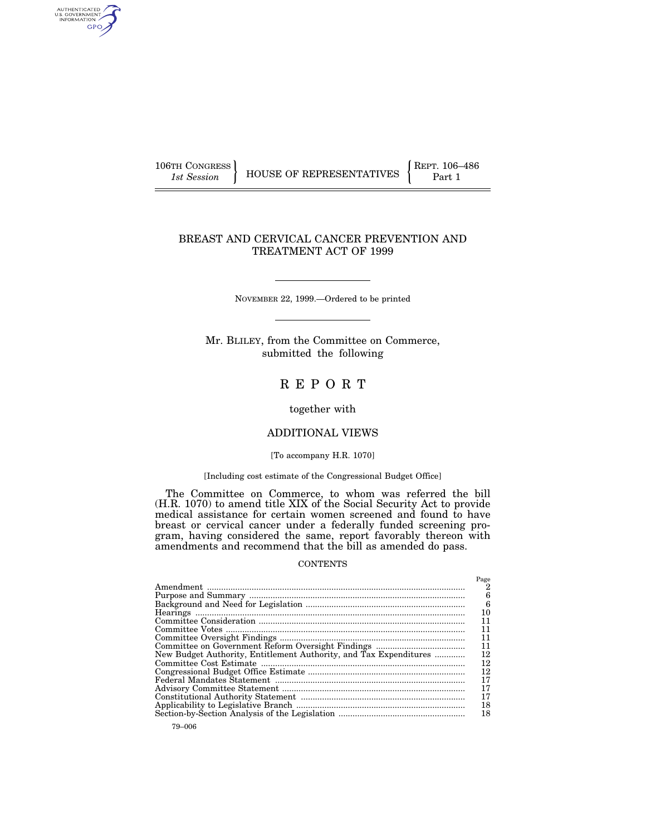106TH CONGRESS REPT. 106–486

AUTHENTICATED<br>U.S. GOVERNMENT<br>INFORMATION GPO

1st Session **FIGUSE OF REPRESENTATIVES Part 1** 

# BREAST AND CERVICAL CANCER PREVENTION AND TREATMENT ACT OF 1999

NOVEMBER 22, 1999.—Ordered to be printed

Mr. BLILEY, from the Committee on Commerce, submitted the following

# R E P O R T

together with

# ADDITIONAL VIEWS

## [To accompany H.R. 1070]

## [Including cost estimate of the Congressional Budget Office]

The Committee on Commerce, to whom was referred the bill (H.R. 1070) to amend title XIX of the Social Security Act to provide medical assistance for certain women screened and found to have breast or cervical cancer under a federally funded screening program, having considered the same, report favorably thereon with amendments and recommend that the bill as amended do pass.

# **CONTENTS**

|                                                                   | Page |
|-------------------------------------------------------------------|------|
|                                                                   |      |
|                                                                   | 6    |
|                                                                   | 6    |
|                                                                   | 10   |
|                                                                   | 11   |
|                                                                   | 11   |
|                                                                   | 11   |
|                                                                   | 11   |
| New Budget Authority, Entitlement Authority, and Tax Expenditures | 12   |
|                                                                   | 12   |
|                                                                   | 12   |
|                                                                   | 17   |
|                                                                   | 17   |
|                                                                   | 17   |
|                                                                   | 18   |
|                                                                   | 18   |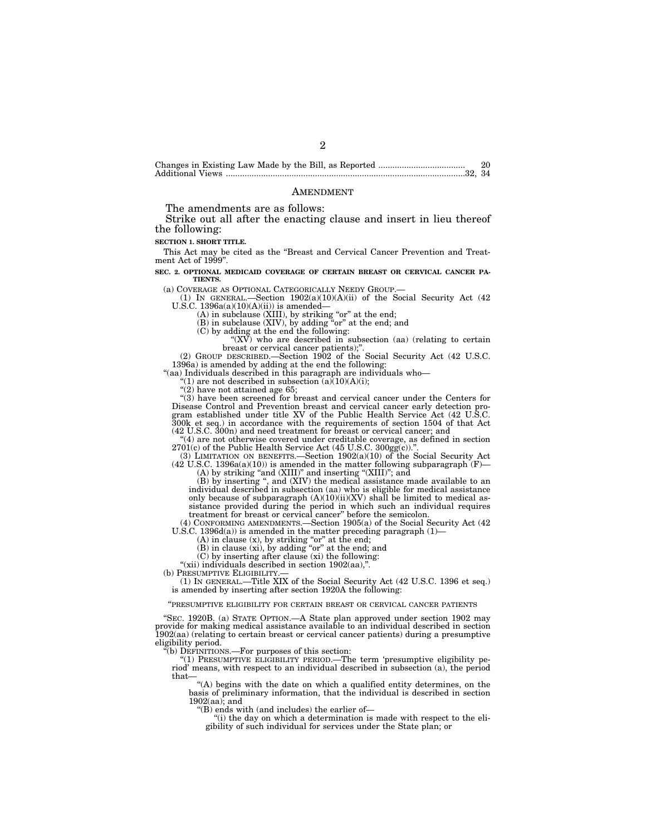| 20 |
|----|
|    |

#### AMENDMENT

The amendments are as follows:

Strike out all after the enacting clause and insert in lieu thereof the following:

**SECTION 1. SHORT TITLE.**

This Act may be cited as the ''Breast and Cervical Cancer Prevention and Treat-ment Act of 1999''.

**SEC. 2. OPTIONAL MEDICAID COVERAGE OF CERTAIN BREAST OR CERVICAL CANCER PA-TIENTS.**

(a) COVERAGE AS OPTIONAL CATEGORICALLY NEEDY GROUP.— (1) IN GENERAL.—Section 1902(a)(10)(A)(ii) of the Social Security Act (42 U.S.C. 1396a(a)(10)(A)(ii)) is amended—

(A) in subclause (XIII), by striking "or" at the end;<br>(B) in subclause (XIV), by adding "or" at the end; and

(C) by adding at the end the following:

" $(XV)$  who are described in subsection (aa) (relating to certain breast or cervical cancer patients);''.

(2) GROUP DESCRIBED.—Section 1902 of the Social Security Act (42 U.S.C. 1396a) is amended by adding at the end the following:

''(aa) Individuals described in this paragraph are individuals who—

"(1) are not described in subsection  $(a)(10)(A)(i)$ ;

" $(2)$  have not attained age 65;

''(3) have been screened for breast and cervical cancer under the Centers for Disease Control and Prevention breast and cervical cancer early detection program established under title XV of the Public Health Service Act (42 U.S.C. 300k et seq.) in accordance with the requirements of section 1504 of

"(4) are not otherwise covered under creditable coverage, as defined in section  $2701(c)$  of the Public Health Service Act (45 U.S.C.  $300g\ddot{g}(c)$ ).'

(3) LIMITATION ON BENEFITS.—Section 1902(a)(10) of the Social Security Act  $(42 \text{ U.S.C. } 1396a(a)(10))$  is amended in the matter following subparagraph (F)-

(A) by striking "and (XIII)" and inserting "(XIII)"; and<br>(B) by inserting ", and (XIV) the medical assistance made available to an individual described in subsection (aa) who is eligible for medical assistance only because of subparagraph  $(A)(10)(ii)(XV)$  shall be limited to medical assistance provided during the period in which such an individual requires treatment for breast or cervical cancer'' before the semicolon.

(4) CONFORMING AMENDMENTS.—Section 1905(a) of the Social Security Act (42 U.S.C.  $1396d(a)$  is amended in the matter preceding paragraph  $(1)$ -

(A) in clause (x), by striking ''or'' at the end; (B) in clause (xi), by adding ''or'' at the end; and

(C) by inserting after clause (xi) the following:

"(xii) individuals described in section 1902(aa),".<br>(b) PRESUMPTIVE ELIGIBILITY.—

(1) IN GENERAL.—Title XIX of the Social Security Act (42 U.S.C. 1396 et seq.) is amended by inserting after section 1920A the following:

#### ''PRESUMPTIVE ELIGIBILITY FOR CERTAIN BREAST OR CERVICAL CANCER PATIENTS

''SEC. 1920B. (a) STATE OPTION.—A State plan approved under section 1902 may provide for making medical assistance available to an individual described in section 1902(aa) (relating to certain breast or cervical cancer patients) during a presumptive eligibility period.

 $\tilde{f}(b)$  DEFINITIONS.—For purposes of this section:

"(1) PRESUMPTIVE ELIGIBILITY PERIOD.—The term 'presumptive eligibility period' means, with respect to an individual described in subsection (a), the period that—

"(A) begins with the date on which a qualified entity determines, on the basis of preliminary information, that the individual is described in section 1902(aa); and

''(B) ends with (and includes) the earlier of—

''(i) the day on which a determination is made with respect to the eligibility of such individual for services under the State plan; or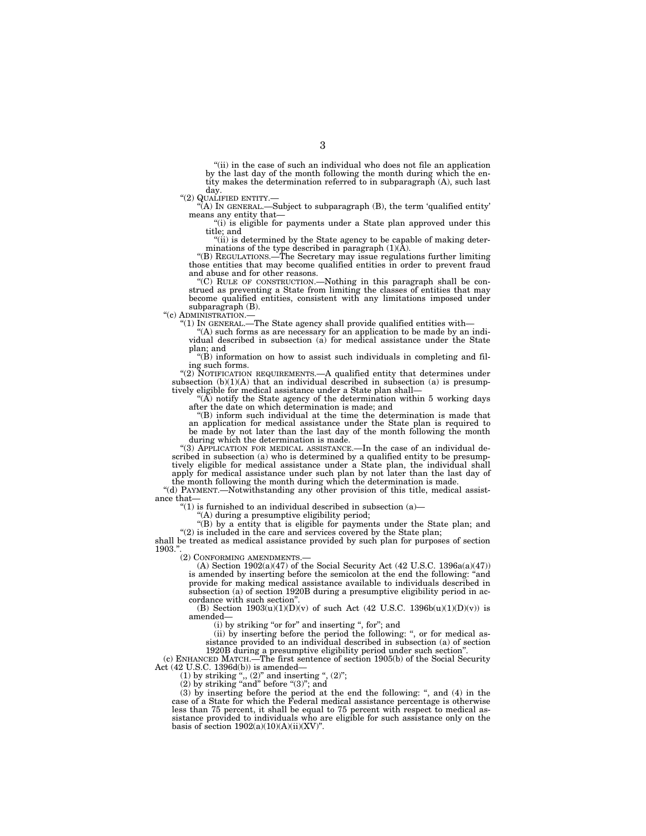''(ii) in the case of such an individual who does not file an application by the last day of the month following the month during which the en-tity makes the determination referred to in subparagraph (A), such last

day.<br>"(2) QUALIFIED ENTITY.-

'(A) IN GENERAL.—Subject to subparagraph (B), the term 'qualified entity' means any entity that—

"(i) is eligible for payments under a State plan approved under this title; and

"(ii) is determined by the State agency to be capable of making deter-<br>minations of the type described in paragraph  $(1)(A)$ .

''(B) REGULATIONS.—The Secretary may issue regulations further limiting those entities that may become qualified entities in order to prevent fraud and abuse and for other reasons.

''(C) RULE OF CONSTRUCTION.—Nothing in this paragraph shall be construed as preventing a State from limiting the classes of entities that may become qualified entities, consistent with any limitations imposed under subparagraph (B).<br>"(c) ADMINISTRATION.—

"(1) IN GENERAL.—The State agency shall provide qualified entities with—

"(A) such forms as are necessary for an application to be made by an individual described in subsection (a) for medical assistance under the State plan; and

 $\mathrm{``(B)}$  information on how to assist such individuals in completing and fil-

ing such forms.<br>
"(2) NOTIFICATION REQUIREMENTS.—A qualified entity that determines under subsection  $(b)(1)(A)$  that an individual described in subsection (a) is presumptively eligible for medical assistance under a State plan shall—

"( $\widetilde{A}$ ) notify the State agency of the determination within 5 working days after the date on which determination is made; and

''(B) inform such individual at the time the determination is made that an application for medical assistance under the State plan is required to be made by not later than the last day of the month following the month during which the determination is made.

"(3) APPLICATION FOR MEDICAL ASSISTANCE.—In the case of an individual described in subsection (a) who is determined by a qualified entity to be presumptively eligible for medical assistance under a State plan, the individual shall apply for medical assistance under such plan by not later than the last day of the month following the month during which the determination is made.

''(d) PAYMENT.—Notwithstanding any other provision of this title, medical assistance that—

" $(1)$  is furnished to an individual described in subsection  $(a)$ -

''(A) during a presumptive eligibility period;

''(B) by a entity that is eligible for payments under the State plan; and  $''(2)$  is included in the care and services covered by the State plan;

shall be treated as medical assistance provided by such plan for purposes of section 1903.

(2) CONFORMING AMENDMENTS.—

(A) Section  $1902(a)(47)$  of the Social Security Act (42 U.S.C. 1396a(a)(47)) is amended by inserting before the semicolon at the end the following: "and provide for making medical assistance available to individuals described in subsection (a) of section 1920B during a presumptive eligibility period in accordance with such section''.

(B) Section  $1903(u)(1)(D)(v)$  of such Act (42 U.S.C. 1396b(u)(1)(D)(v)) is amended—

(i) by striking "or for" and inserting ", for"; and

(ii) by inserting before the period the following: ", or for medical assistance provided to an individual described in subsection (a) of section 1920B during a presumptive eligibility period under such section''.

(c) ENHANCED MATCH.—The first sentence of section 1905(b) of the Social Security Act (42 U.S.C. 1396d(b)) is amended—

 $(1)$  by striking ",  $(2)$ " and inserting ",  $(2)$ ";

 $(2)$  by striking "and" before " $(3)$ "; and

(3) by inserting before the period at the end the following: '', and (4) in the case of a State for which the Federal medical assistance percentage is otherwise less than 75 percent, it shall be equal to 75 percent with respect to medical assistance provided to individuals who are eligible for such assistance only on the basis of section  $1902(a)(10)(A)(ii)(XV)$ ".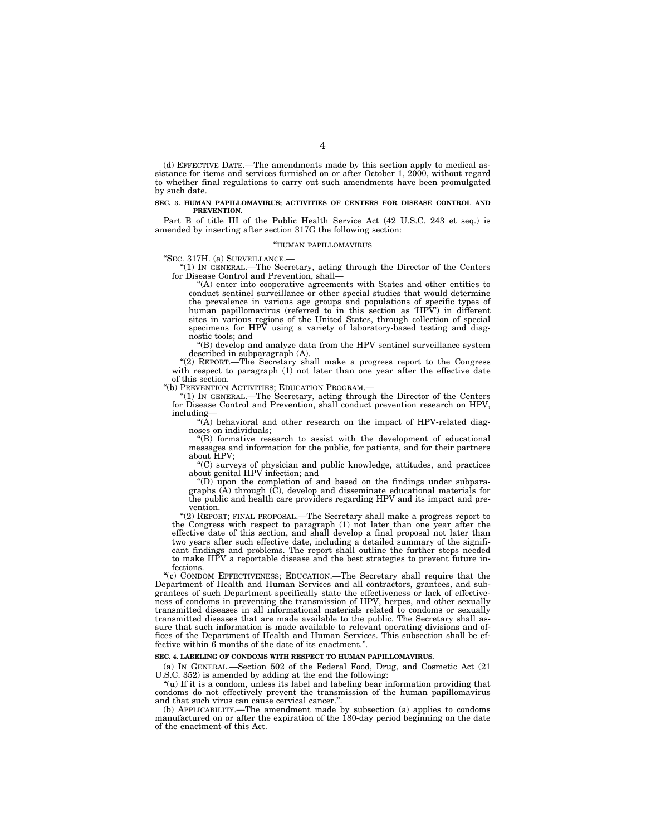(d) EFFECTIVE DATE.—The amendments made by this section apply to medical assistance for items and services furnished on or after October 1, 2000, without regard to whether final regulations to carry out such amendments have been promulgated by such date.

#### **SEC. 3. HUMAN PAPILLOMAVIRUS; ACTIVITIES OF CENTERS FOR DISEASE CONTROL AND PREVENTION.**

Part B of title III of the Public Health Service Act (42 U.S.C. 243 et seq.) is amended by inserting after section 317G the following section:

#### ''HUMAN PAPILLOMAVIRUS

''SEC. 317H. (a) SURVEILLANCE.—

''(1) IN GENERAL.—The Secretary, acting through the Director of the Centers for Disease Control and Prevention, shall-

''(A) enter into cooperative agreements with States and other entities to conduct sentinel surveillance or other special studies that would determine the prevalence in various age groups and populations of specific types of human papillomavirus (referred to in this section as 'HPV') in different sites in various regions of the United States, through collection of special specimens for HPV using a variety of laboratory-based testing and diagnostic tools; and

''(B) develop and analyze data from the HPV sentinel surveillance system described in subparagraph (A).

''(2) REPORT.—The Secretary shall make a progress report to the Congress with respect to paragraph (1) not later than one year after the effective date of this section.

''(b) PREVENTION ACTIVITIES; EDUCATION PROGRAM.—

''(1) IN GENERAL.—The Secretary, acting through the Director of the Centers for Disease Control and Prevention, shall conduct prevention research on HPV, including—

"(A) behavioral and other research on the impact of HPV-related diagnoses on individuals;

''(B) formative research to assist with the development of educational messages and information for the public, for patients, and for their partners about HPV;

''(C) surveys of physician and public knowledge, attitudes, and practices about genital HPV infection; and

"(D) upon the completion of and based on the findings under subparagraphs  $(A)$  through  $(C)$ , develop and disseminate educational materials for the public and health care providers regarding HPV and its impact and prevention.

''(2) REPORT; FINAL PROPOSAL.—The Secretary shall make a progress report to the Congress with respect to paragraph (1) not later than one year after the effective date of this section, and shall develop a final proposal not later than two years after such effective date, including a detailed summary of the significant findings and problems. The report shall outline the further steps needed to make HPV a reportable disease and the best strategies to prevent future infections.

''(c) CONDOM EFFECTIVENESS; EDUCATION.—The Secretary shall require that the Department of Health and Human Services and all contractors, grantees, and subgrantees of such Department specifically state the effectiveness or lack of effectiveness of condoms in preventing the transmission of HPV, herpes, and other sexually transmitted diseases in all informational materials related to condoms or sexually transmitted diseases that are made available to the public. The Secretary shall assure that such information is made available to relevant operating divisions and offices of the Department of Health and Human Services. This subsection shall be effective within 6 months of the date of its enactment.''.

#### **SEC. 4. LABELING OF CONDOMS WITH RESPECT TO HUMAN PAPILLOMAVIRUS.**

(a) IN GENERAL.—Section 502 of the Federal Food, Drug, and Cosmetic Act (21 U.S.C. 352) is amended by adding at the end the following:

''(u) If it is a condom, unless its label and labeling bear information providing that condoms do not effectively prevent the transmission of the human papillomavirus and that such virus can cause cervical cancer.'

(b) APPLICABILITY.—The amendment made by subsection (a) applies to condoms manufactured on or after the expiration of the 180-day period beginning on the date of the enactment of this Act.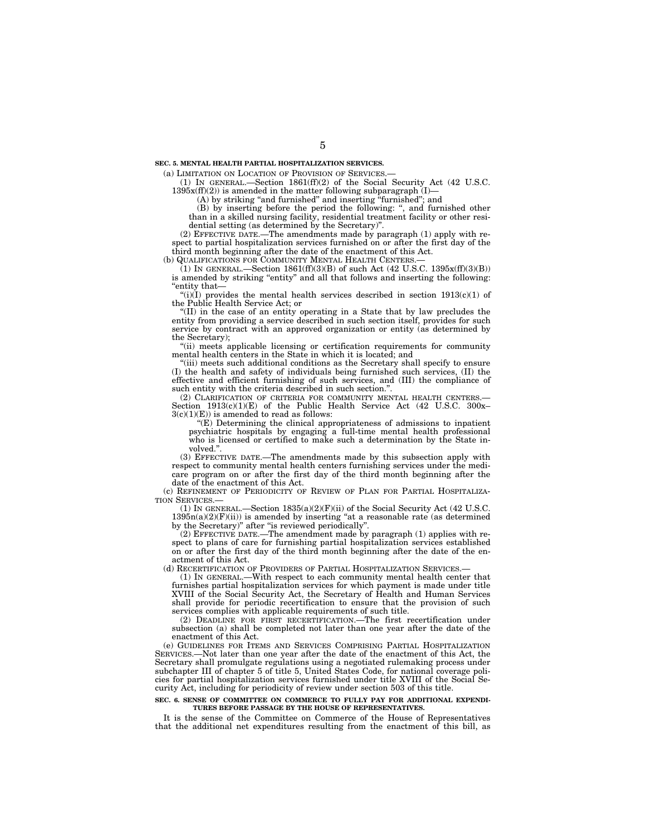(a) LIMITATION ON LOCATION OF PROVISION OF SERVICES.—

(1) IN GENERAL.—Section 1861(ff)(2) of the Social Security Act (42 U.S.C.  $1395x(ff)(2)$ ) is amended in the matter following subparagraph (I)-

(A) by striking ''and furnished'' and inserting ''furnished''; and

(B) by inserting before the period the following: '', and furnished other than in a skilled nursing facility, residential treatment facility or other residential setting (as determined by the Secretary)''.

(2) EFFECTIVE DATE.—The amendments made by paragraph (1) apply with respect to partial hospitalization services furnished on or after the first day of the third month beginning after the date of the enactment of this Act.

(b) QUALIFICATIONS FOR COMMUNITY MENTAL HEALTH CENTERS.

(1) IN GENERAL.—Section 1861(ff)(3)(B) of such Act (42 U.S.C. 1395x(ff)(3)(B)) is amended by striking "entity" and all that follows and inserting the following: ''entity that—

"(i) $(I)$  provides the mental health services described in section 1913(c)(1) of the Public Health Service Act; or

''(II) in the case of an entity operating in a State that by law precludes the entity from providing a service described in such section itself, provides for such service by contract with an approved organization or entity (as determined by the Secretary);

''(ii) meets applicable licensing or certification requirements for community mental health centers in the State in which it is located; and

(iii) meets such additional conditions as the Secretary shall specify to ensure (I) the health and safety of individuals being furnished such services, (II) the effective and efficient furnishing of such services, and (III) the compliance of such entity with the criteria described in such section.''.

(2) CLARIFICATION OF CRITERIA FOR COMMUNITY MENTAL HEALTH CENTERS. Section  $1913(c)(1)(E)$  of the Public Health Service Act (42 U.S.C. 300x–  $3(c)(1)(E)$  is amended to read as follows:

 $E(E)$  Determining the clinical appropriateness of admissions to inpatient psychiatric hospitals by engaging a full-time mental health professional who is licensed or certified to make such a determination by the State involved.''.

(3) EFFECTIVE DATE.—The amendments made by this subsection apply with respect to community mental health centers furnishing services under the medicare program on or after the first day of the third month beginning after the date of the enactment of this Act.

(c) REFINEMENT OF PERIODICITY OF REVIEW OF PLAN FOR PARTIAL HOSPITALIZA-TION SERVICES.—

(1) IN GENERAL.—Section 1835(a)(2)(F)(ii) of the Social Security Act (42 U.S.C.  $1395n(a)(2)(F(ii))$  is amended by inserting "at a reasonable rate (as determined by the Secretary)'' after ''is reviewed periodically''.

(2) EFFECTIVE DATE.—The amendment made by paragraph (1) applies with respect to plans of care for furnishing partial hospitalization services established on or after the first day of the third month beginning after the date of the enactment of this Act.

(d) RECERTIFICATION OF PROVIDERS OF PARTIAL HOSPITALIZATION SERVICES.—

(1) IN GENERAL.—With respect to each community mental health center that furnishes partial hospitalization services for which payment is made under title XVIII of the Social Security Act, the Secretary of Health and Human Services shall provide for periodic recertification to ensure that the provision of such services complies with applicable requirements of such title.

(2) DEADLINE FOR FIRST RECERTIFICATION.—The first recertification under subsection (a) shall be completed not later than one year after the date of the enactment of this Act.

(e) GUIDELINES FOR ITEMS AND SERVICES COMPRISING PARTIAL HOSPITALIZATION SERVICES.—Not later than one year after the date of the enactment of this Act, the Secretary shall promulgate regulations using a negotiated rulemaking process under subchapter III of chapter 5 of title 5, United States Code, for national coverage policies for partial hospitalization services furnished under title XVIII of the Social Security Act, including for periodicity of review under section 503 of this title.

#### **SEC. 6. SENSE OF COMMITTEE ON COMMERCE TO FULLY PAY FOR ADDITIONAL EXPENDI-TURES BEFORE PASSAGE BY THE HOUSE OF REPRESENTATIVES.**

It is the sense of the Committee on Commerce of the House of Representatives that the additional net expenditures resulting from the enactment of this bill, as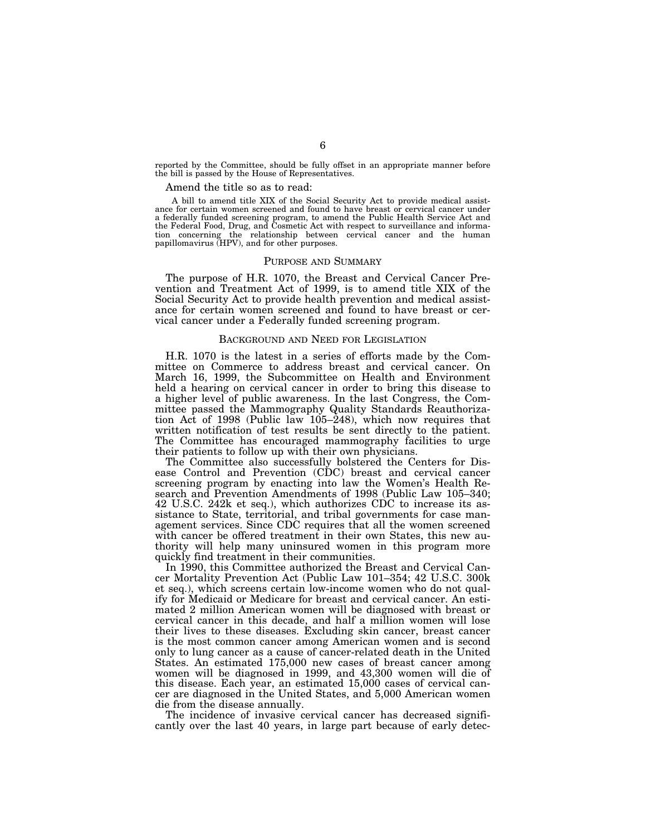reported by the Committee, should be fully offset in an appropriate manner before the bill is passed by the House of Representatives.

#### Amend the title so as to read:

A bill to amend title XIX of the Social Security Act to provide medical assistance for certain women screened and found to have breast or cervical cancer under a federally funded screening program, to amend the Public Health Service Act and the Federal Food, Drug, and Cosmetic Act with respect to surveillance and information concerning the relationship between cervical cancer and the human papillomavirus (HPV), and for other purposes.

#### PURPOSE AND SUMMARY

The purpose of H.R. 1070, the Breast and Cervical Cancer Prevention and Treatment Act of 1999, is to amend title XIX of the Social Security Act to provide health prevention and medical assistance for certain women screened and found to have breast or cervical cancer under a Federally funded screening program.

#### BACKGROUND AND NEED FOR LEGISLATION

H.R. 1070 is the latest in a series of efforts made by the Committee on Commerce to address breast and cervical cancer. On March 16, 1999, the Subcommittee on Health and Environment held a hearing on cervical cancer in order to bring this disease to a higher level of public awareness. In the last Congress, the Committee passed the Mammography Quality Standards Reauthorization Act of 1998 (Public law  $105-\dot{2}48$ ), which now requires that written notification of test results be sent directly to the patient. The Committee has encouraged mammography facilities to urge their patients to follow up with their own physicians.

The Committee also successfully bolstered the Centers for Disease Control and Prevention (CDC) breast and cervical cancer screening program by enacting into law the Women's Health Research and Prevention Amendments of 1998 (Public Law 105–340; 42 U.S.C. 242k et seq.), which authorizes CDC to increase its assistance to State, territorial, and tribal governments for case management services. Since CDC requires that all the women screened with cancer be offered treatment in their own States, this new authority will help many uninsured women in this program more quickly find treatment in their communities.

In 1990, this Committee authorized the Breast and Cervical Cancer Mortality Prevention Act (Public Law 101–354; 42 U.S.C. 300k et seq.), which screens certain low-income women who do not qualify for Medicaid or Medicare for breast and cervical cancer. An estimated 2 million American women will be diagnosed with breast or cervical cancer in this decade, and half a million women will lose their lives to these diseases. Excluding skin cancer, breast cancer is the most common cancer among American women and is second only to lung cancer as a cause of cancer-related death in the United States. An estimated 175,000 new cases of breast cancer among women will be diagnosed in 1999, and 43,300 women will die of this disease. Each year, an estimated 15,000 cases of cervical cancer are diagnosed in the United States, and 5,000 American women die from the disease annually.

The incidence of invasive cervical cancer has decreased significantly over the last 40 years, in large part because of early detec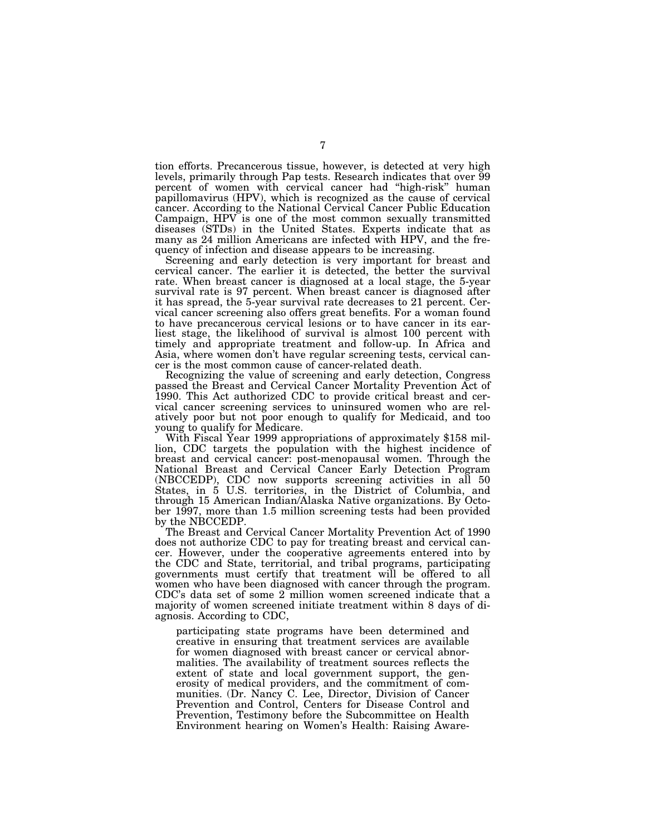tion efforts. Precancerous tissue, however, is detected at very high levels, primarily through Pap tests. Research indicates that over 99 percent of women with cervical cancer had ''high-risk'' human papillomavirus (HPV), which is recognized as the cause of cervical cancer. According to the National Cervical Cancer Public Education Campaign, HPV is one of the most common sexually transmitted diseases (STDs) in the United States. Experts indicate that as many as 24 million Americans are infected with HPV, and the frequency of infection and disease appears to be increasing.

Screening and early detection is very important for breast and cervical cancer. The earlier it is detected, the better the survival rate. When breast cancer is diagnosed at a local stage, the 5-year survival rate is 97 percent. When breast cancer is diagnosed after it has spread, the 5-year survival rate decreases to 21 percent. Cervical cancer screening also offers great benefits. For a woman found to have precancerous cervical lesions or to have cancer in its earliest stage, the likelihood of survival is almost 100 percent with timely and appropriate treatment and follow-up. In Africa and Asia, where women don't have regular screening tests, cervical cancer is the most common cause of cancer-related death.

Recognizing the value of screening and early detection, Congress passed the Breast and Cervical Cancer Mortality Prevention Act of 1990. This Act authorized CDC to provide critical breast and cervical cancer screening services to uninsured women who are relatively poor but not poor enough to qualify for Medicaid, and too

With Fiscal Year 1999 appropriations of approximately \$158 million, CDC targets the population with the highest incidence of breast and cervical cancer: post-menopausal women. Through the National Breast and Cervical Cancer Early Detection Program (NBCCEDP), CDC now supports screening activities in all 50 States, in 5 U.S. territories, in the District of Columbia, and through 15 American Indian/Alaska Native organizations. By October 1997, more than 1.5 million screening tests had been provided by the NBCCEDP.

The Breast and Cervical Cancer Mortality Prevention Act of 1990 does not authorize CDC to pay for treating breast and cervical cancer. However, under the cooperative agreements entered into by the CDC and State, territorial, and tribal programs, participating governments must certify that treatment will be offered to all women who have been diagnosed with cancer through the program. CDC's data set of some 2 million women screened indicate that a majority of women screened initiate treatment within 8 days of diagnosis. According to CDC,

participating state programs have been determined and creative in ensuring that treatment services are available for women diagnosed with breast cancer or cervical abnormalities. The availability of treatment sources reflects the extent of state and local government support, the generosity of medical providers, and the commitment of communities. (Dr. Nancy C. Lee, Director, Division of Cancer Prevention and Control, Centers for Disease Control and Prevention, Testimony before the Subcommittee on Health Environment hearing on Women's Health: Raising Aware-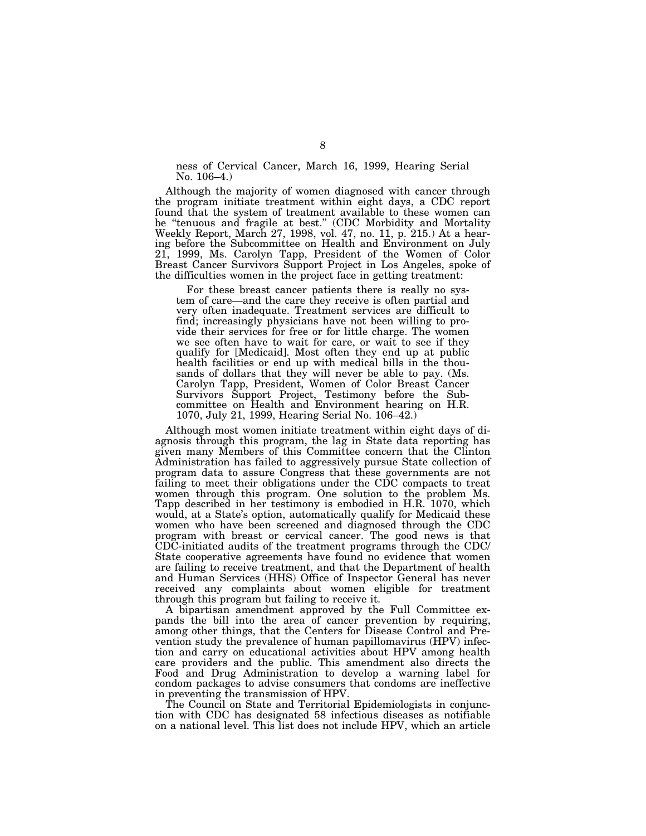ness of Cervical Cancer, March 16, 1999, Hearing Serial No. 106–4.)

Although the majority of women diagnosed with cancer through the program initiate treatment within eight days, a CDC report found that the system of treatment available to these women can be ''tenuous and fragile at best.'' (CDC Morbidity and Mortality Weekly Report, March 27, 1998, vol. 47, no. 11, p. 215.) At a hearing before the Subcommittee on Health and Environment on July 21, 1999, Ms. Carolyn Tapp, President of the Women of Color Breast Cancer Survivors Support Project in Los Angeles, spoke of the difficulties women in the project face in getting treatment:

For these breast cancer patients there is really no system of care—and the care they receive is often partial and very often inadequate. Treatment services are difficult to find; increasingly physicians have not been willing to provide their services for free or for little charge. The women we see often have to wait for care, or wait to see if they qualify for [Medicaid]. Most often they end up at public health facilities or end up with medical bills in the thousands of dollars that they will never be able to pay. (Ms. Carolyn Tapp, President, Women of Color Breast Cancer Survivors Support Project, Testimony before the Subcommittee on Health and Environment hearing on H.R. 1070, July 21, 1999, Hearing Serial No. 106–42.)

Although most women initiate treatment within eight days of diagnosis through this program, the lag in State data reporting has given many Members of this Committee concern that the Clinton Administration has failed to aggressively pursue State collection of program data to assure Congress that these governments are not failing to meet their obligations under the CDC compacts to treat women through this program. One solution to the problem Ms. Tapp described in her testimony is embodied in H.R. 1070, which would, at a State's option, automatically qualify for Medicaid these women who have been screened and diagnosed through the CDC program with breast or cervical cancer. The good news is that CDC-initiated audits of the treatment programs through the CDC/ State cooperative agreements have found no evidence that women are failing to receive treatment, and that the Department of health and Human Services (HHS) Office of Inspector General has never received any complaints about women eligible for treatment through this program but failing to receive it.

A bipartisan amendment approved by the Full Committee expands the bill into the area of cancer prevention by requiring, among other things, that the Centers for Disease Control and Prevention study the prevalence of human papillomavirus (HPV) infection and carry on educational activities about HPV among health care providers and the public. This amendment also directs the Food and Drug Administration to develop a warning label for condom packages to advise consumers that condoms are ineffective in preventing the transmission of HPV.

The Council on State and Territorial Epidemiologists in conjunction with CDC has designated 58 infectious diseases as notifiable on a national level. This list does not include HPV, which an article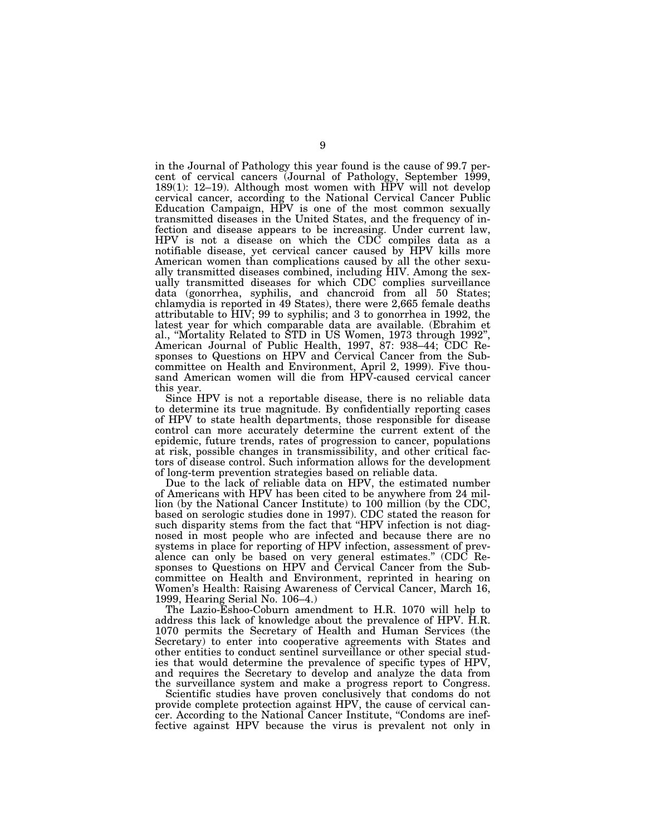in the Journal of Pathology this year found is the cause of 99.7 percent of cervical cancers (Journal of Pathology, September 1999, 189(1): 12–19). Although most women with HPV will not develop cervical cancer, according to the National Cervical Cancer Public Education Campaign, HPV is one of the most common sexually transmitted diseases in the United States, and the frequency of infection and disease appears to be increasing. Under current law, HPV is not a disease on which the CDC compiles data as a notifiable disease, yet cervical cancer caused by HPV kills more American women than complications caused by all the other sexually transmitted diseases combined, including HIV. Among the sexually transmitted diseases for which CDC complies surveillance data (gonorrhea, syphilis, and chancroid from all 50 States; chlamydia is reported in 49 States), there were 2,665 female deaths attributable to HIV; 99 to syphilis; and 3 to gonorrhea in 1992, the latest year for which comparable data are available. (Ebrahim et al., ''Mortality Related to STD in US Women, 1973 through 1992'', American Journal of Public Health, 1997, 87: 938–44; CDC Responses to Questions on HPV and Cervical Cancer from the Subcommittee on Health and Environment, April 2, 1999). Five thousand American women will die from HPV-caused cervical cancer this year.

Since HPV is not a reportable disease, there is no reliable data to determine its true magnitude. By confidentially reporting cases of HPV to state health departments, those responsible for disease control can more accurately determine the current extent of the epidemic, future trends, rates of progression to cancer, populations at risk, possible changes in transmissibility, and other critical factors of disease control. Such information allows for the development of long-term prevention strategies based on reliable data.

Due to the lack of reliable data on HPV, the estimated number of Americans with HPV has been cited to be anywhere from 24 million (by the National Cancer Institute) to 100 million (by the CDC, based on serologic studies done in 1997). CDC stated the reason for such disparity stems from the fact that ''HPV infection is not diagnosed in most people who are infected and because there are no systems in place for reporting of HPV infection, assessment of prevalence can only be based on very general estimates.'' (CDC Responses to Questions on HPV and Cervical Cancer from the Subcommittee on Health and Environment, reprinted in hearing on Women's Health: Raising Awareness of Cervical Cancer, March 16, 1999, Hearing Serial No. 106–4.)

The Lazio-Eshoo-Coburn amendment to H.R. 1070 will help to address this lack of knowledge about the prevalence of HPV. H.R. 1070 permits the Secretary of Health and Human Services (the Secretary) to enter into cooperative agreements with States and other entities to conduct sentinel surveillance or other special studies that would determine the prevalence of specific types of HPV, and requires the Secretary to develop and analyze the data from the surveillance system and make a progress report to Congress.

Scientific studies have proven conclusively that condoms do not provide complete protection against HPV, the cause of cervical cancer. According to the National Cancer Institute, ''Condoms are ineffective against HPV because the virus is prevalent not only in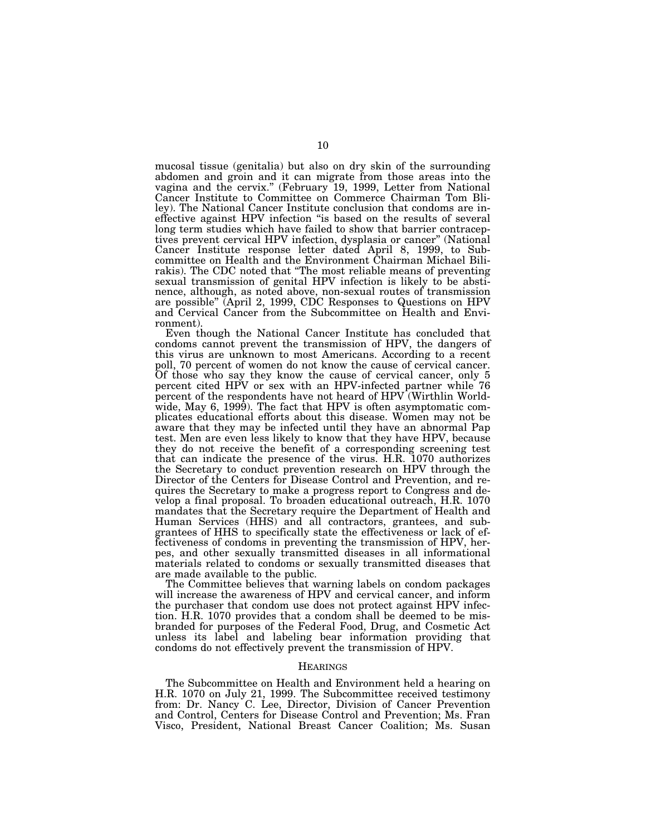mucosal tissue (genitalia) but also on dry skin of the surrounding abdomen and groin and it can migrate from those areas into the vagina and the cervix.'' (February 19, 1999, Letter from National Cancer Institute to Committee on Commerce Chairman Tom Bliley). The National Cancer Institute conclusion that condoms are ineffective against HPV infection ''is based on the results of several long term studies which have failed to show that barrier contraceptives prevent cervical HPV infection, dysplasia or cancer'' (National Cancer Institute response letter dated April 8, 1999, to Subcommittee on Health and the Environment Chairman Michael Bilirakis). The CDC noted that ''The most reliable means of preventing sexual transmission of genital HPV infection is likely to be abstinence, although, as noted above, non-sexual routes of transmission are possible'' (April 2, 1999, CDC Responses to Questions on HPV and Cervical Cancer from the Subcommittee on Health and Environment).

Even though the National Cancer Institute has concluded that condoms cannot prevent the transmission of HPV, the dangers of this virus are unknown to most Americans. According to a recent poll, 70 percent of women do not know the cause of cervical cancer. Of those who say they know the cause of cervical cancer, only 5 percent cited HPV or sex with an HPV-infected partner while 76 percent of the respondents have not heard of HPV (Wirthlin Worldwide, May 6, 1999). The fact that HPV is often asymptomatic complicates educational efforts about this disease. Women may not be aware that they may be infected until they have an abnormal Pap test. Men are even less likely to know that they have HPV, because they do not receive the benefit of a corresponding screening test that can indicate the presence of the virus. H.R. 1070 authorizes the Secretary to conduct prevention research on HPV through the Director of the Centers for Disease Control and Prevention, and requires the Secretary to make a progress report to Congress and develop a final proposal. To broaden educational outreach, H.R. 1070 mandates that the Secretary require the Department of Health and Human Services (HHS) and all contractors, grantees, and subgrantees of HHS to specifically state the effectiveness or lack of effectiveness of condoms in preventing the transmission of HPV, herpes, and other sexually transmitted diseases in all informational materials related to condoms or sexually transmitted diseases that are made available to the public.

The Committee believes that warning labels on condom packages will increase the awareness of HPV and cervical cancer, and inform the purchaser that condom use does not protect against HPV infection. H.R. 1070 provides that a condom shall be deemed to be misbranded for purposes of the Federal Food, Drug, and Cosmetic Act unless its label and labeling bear information providing that condoms do not effectively prevent the transmission of HPV.

## **HEARINGS**

The Subcommittee on Health and Environment held a hearing on H.R. 1070 on July 21, 1999. The Subcommittee received testimony from: Dr. Nancy C. Lee, Director, Division of Cancer Prevention and Control, Centers for Disease Control and Prevention; Ms. Fran Visco, President, National Breast Cancer Coalition; Ms. Susan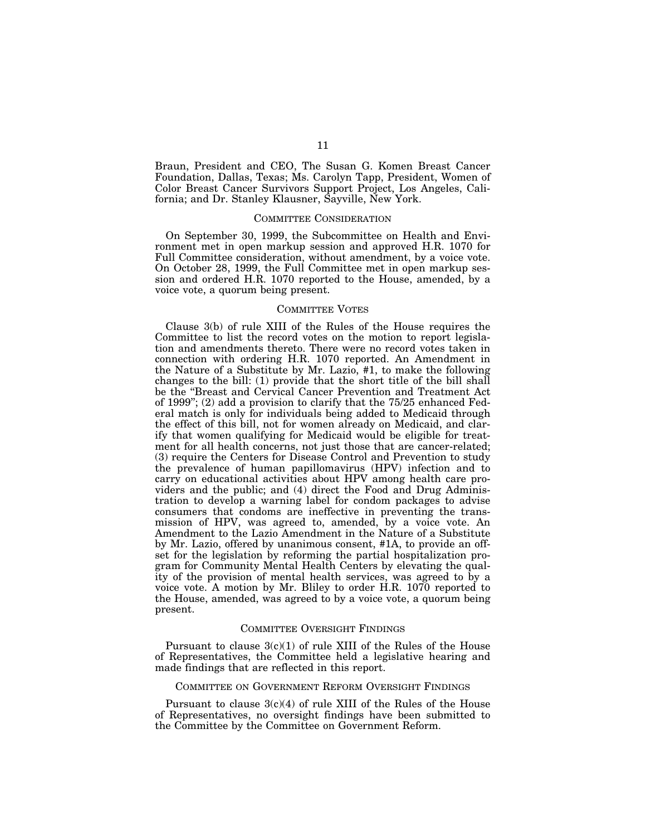Braun, President and CEO, The Susan G. Komen Breast Cancer Foundation, Dallas, Texas; Ms. Carolyn Tapp, President, Women of Color Breast Cancer Survivors Support Project, Los Angeles, California; and Dr. Stanley Klausner, Sayville, New York.

### COMMITTEE CONSIDERATION

On September 30, 1999, the Subcommittee on Health and Environment met in open markup session and approved H.R. 1070 for Full Committee consideration, without amendment, by a voice vote. On October 28, 1999, the Full Committee met in open markup session and ordered H.R. 1070 reported to the House, amended, by a voice vote, a quorum being present.

#### COMMITTEE VOTES

Clause 3(b) of rule XIII of the Rules of the House requires the Committee to list the record votes on the motion to report legislation and amendments thereto. There were no record votes taken in connection with ordering H.R. 1070 reported. An Amendment in the Nature of a Substitute by Mr. Lazio, #1, to make the following changes to the bill: (1) provide that the short title of the bill shall be the ''Breast and Cervical Cancer Prevention and Treatment Act of 1999''; (2) add a provision to clarify that the 75/25 enhanced Federal match is only for individuals being added to Medicaid through the effect of this bill, not for women already on Medicaid, and clarify that women qualifying for Medicaid would be eligible for treatment for all health concerns, not just those that are cancer-related; (3) require the Centers for Disease Control and Prevention to study the prevalence of human papillomavirus (HPV) infection and to carry on educational activities about HPV among health care providers and the public; and (4) direct the Food and Drug Administration to develop a warning label for condom packages to advise consumers that condoms are ineffective in preventing the transmission of HPV, was agreed to, amended, by a voice vote. An Amendment to the Lazio Amendment in the Nature of a Substitute by Mr. Lazio, offered by unanimous consent, #1A, to provide an offset for the legislation by reforming the partial hospitalization program for Community Mental Health Centers by elevating the quality of the provision of mental health services, was agreed to by a voice vote. A motion by Mr. Bliley to order H.R. 1070 reported to the House, amended, was agreed to by a voice vote, a quorum being present.

#### COMMITTEE OVERSIGHT FINDINGS

Pursuant to clause  $3(c)(1)$  of rule XIII of the Rules of the House of Representatives, the Committee held a legislative hearing and made findings that are reflected in this report.

# COMMITTEE ON GOVERNMENT REFORM OVERSIGHT FINDINGS

Pursuant to clause  $3(c)(4)$  of rule XIII of the Rules of the House of Representatives, no oversight findings have been submitted to the Committee by the Committee on Government Reform.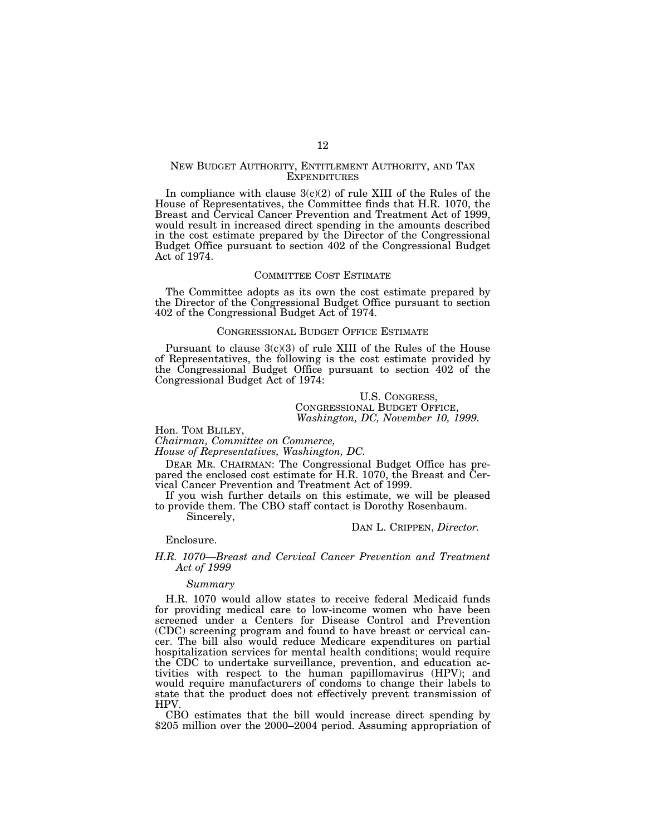## NEW BUDGET AUTHORITY, ENTITLEMENT AUTHORITY, AND TAX **EXPENDITURES**

In compliance with clause  $3(c)(2)$  of rule XIII of the Rules of the House of Representatives, the Committee finds that H.R. 1070, the Breast and Cervical Cancer Prevention and Treatment Act of 1999, would result in increased direct spending in the amounts described in the cost estimate prepared by the Director of the Congressional Budget Office pursuant to section 402 of the Congressional Budget Act of 1974.

#### COMMITTEE COST ESTIMATE

The Committee adopts as its own the cost estimate prepared by the Director of the Congressional Budget Office pursuant to section 402 of the Congressional Budget Act of 1974.

#### CONGRESSIONAL BUDGET OFFICE ESTIMATE

Pursuant to clause  $3(c)(3)$  of rule XIII of the Rules of the House of Representatives, the following is the cost estimate provided by the Congressional Budget Office pursuant to section 402 of the Congressional Budget Act of 1974:

# U.S. CONGRESS, CONGRESSIONAL BUDGET OFFICE, *Washington, DC, November 10, 1999.*

Hon. TOM BLILEY, *Chairman, Committee on Commerce,*

*House of Representatives, Washington, DC.*

DEAR MR. CHAIRMAN: The Congressional Budget Office has prepared the enclosed cost estimate for H.R. 1070, the Breast and Cervical Cancer Prevention and Treatment Act of 1999.

If you wish further details on this estimate, we will be pleased to provide them. The CBO staff contact is Dorothy Rosenbaum.

Sincerely,

DAN L. CRIPPEN, *Director.*

Enclosure.

#### *H.R. 1070—Breast and Cervical Cancer Prevention and Treatment Act of 1999*

#### *Summary*

H.R. 1070 would allow states to receive federal Medicaid funds for providing medical care to low-income women who have been screened under a Centers for Disease Control and Prevention (CDC) screening program and found to have breast or cervical cancer. The bill also would reduce Medicare expenditures on partial hospitalization services for mental health conditions; would require the CDC to undertake surveillance, prevention, and education activities with respect to the human papillomavirus (HPV); and would require manufacturers of condoms to change their labels to state that the product does not effectively prevent transmission of HPV.

CBO estimates that the bill would increase direct spending by \$205 million over the 2000–2004 period. Assuming appropriation of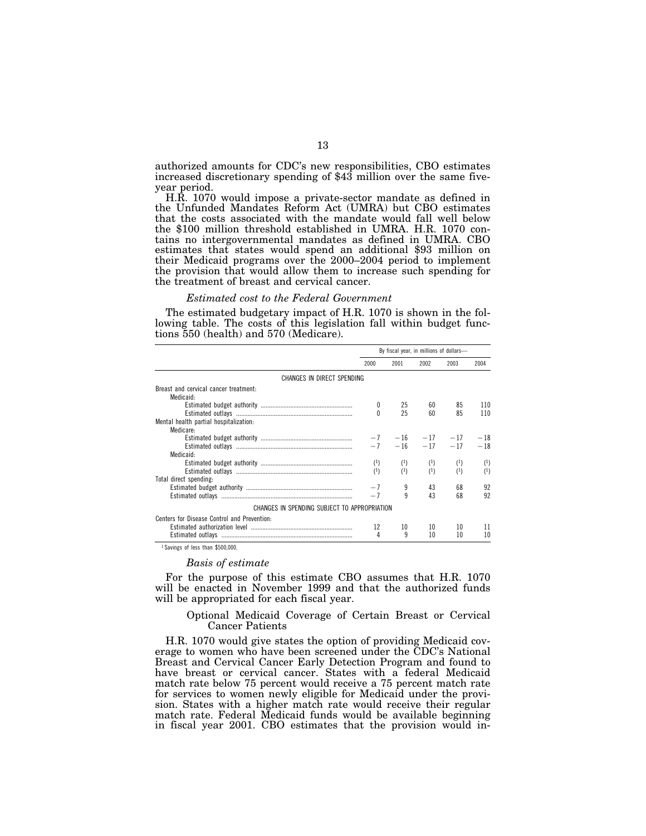authorized amounts for CDC's new responsibilities, CBO estimates increased discretionary spending of \$43 million over the same fiveyear period.

H.R. 1070 would impose a private-sector mandate as defined in the Unfunded Mandates Reform Act (UMRA) but CBO estimates that the costs associated with the mandate would fall well below the \$100 million threshold established in UMRA. H.R. 1070 contains no intergovernmental mandates as defined in UMRA. CBO estimates that states would spend an additional \$93 million on their Medicaid programs over the 2000–2004 period to implement the provision that would allow them to increase such spending for the treatment of breast and cervical cancer.

#### *Estimated cost to the Federal Government*

The estimated budgetary impact of H.R. 1070 is shown in the following table. The costs of this legislation fall within budget functions 550 (health) and 570 (Medicare).

|                                              | By fiscal year, in millions of dollars- |          |                        |          |       |
|----------------------------------------------|-----------------------------------------|----------|------------------------|----------|-------|
|                                              | 2000                                    | 2001     | 2002                   | 2003     | 2004  |
| CHANGES IN DIRECT SPENDING                   |                                         |          |                        |          |       |
| Breast and cervical cancer treatment.        |                                         |          |                        |          |       |
| Medicaid:                                    |                                         |          |                        |          |       |
|                                              |                                         | 25       | 60                     | 85       | 110   |
|                                              |                                         | 25       | 60                     | 85       | 110   |
| Mental health partial hospitalization:       |                                         |          |                        |          |       |
| Medicare:                                    |                                         |          |                        |          |       |
|                                              |                                         |          | $-7$ $-16$ $-17$ $-17$ |          | $-18$ |
|                                              |                                         |          | $-7$ $-16$ $-17$ $-17$ |          | $-18$ |
| Medicaid:                                    |                                         |          |                        |          |       |
|                                              | $^{(1)}$                                | $^{(1)}$ | $^{(1)}$               | $^{(1)}$ | (1)   |
|                                              | (1)                                     | (1)      | (1)                    | $^{(1)}$ | (1)   |
| Total direct spending:                       |                                         |          |                        |          |       |
|                                              |                                         | 9        | 43                     | 68       | 92    |
|                                              |                                         | 9        | 43                     | 68       | 92    |
| CHANGES IN SPENDING SUBJECT TO APPROPRIATION |                                         |          |                        |          |       |
| Centers for Disease Control and Prevention:  |                                         |          |                        |          |       |
|                                              | 12                                      | 10       | 10                     | 10       | 11    |
|                                              | 4                                       | q        | 10                     | 10       | 10    |

1 Savings of less than \$500,000.

#### *Basis of estimate*

For the purpose of this estimate CBO assumes that H.R. 1070 will be enacted in November 1999 and that the authorized funds will be appropriated for each fiscal year.

Optional Medicaid Coverage of Certain Breast or Cervical Cancer Patients

H.R. 1070 would give states the option of providing Medicaid coverage to women who have been screened under the CDC's National Breast and Cervical Cancer Early Detection Program and found to have breast or cervical cancer. States with a federal Medicaid match rate below 75 percent would receive a 75 percent match rate for services to women newly eligible for Medicaid under the provision. States with a higher match rate would receive their regular match rate. Federal Medicaid funds would be available beginning in fiscal year 2001. CBO estimates that the provision would in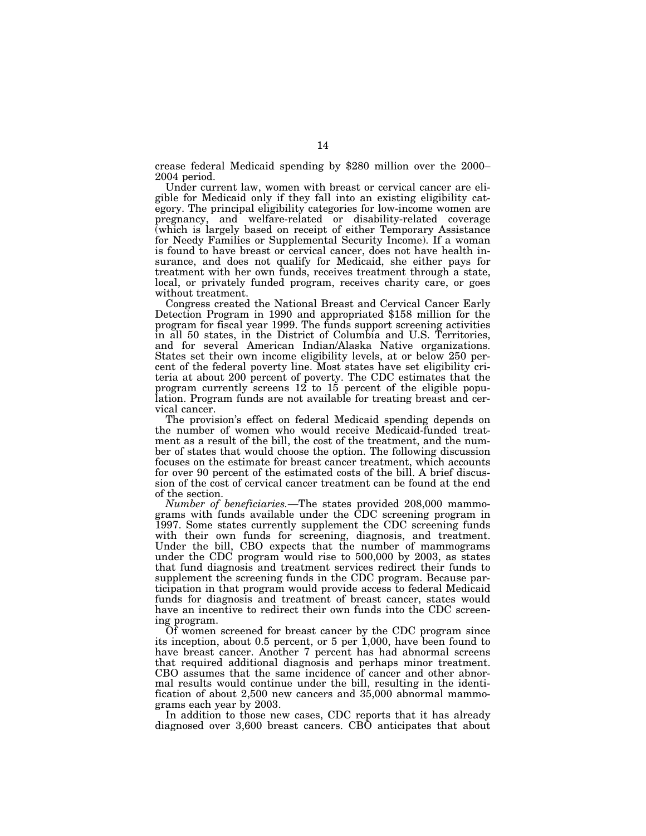crease federal Medicaid spending by \$280 million over the 2000– 2004 period.

Under current law, women with breast or cervical cancer are eligible for Medicaid only if they fall into an existing eligibility category. The principal eligibility categories for low-income women are pregnancy, and welfare-related or disability-related coverage (which is largely based on receipt of either Temporary Assistance for Needy Families or Supplemental Security Income). If a woman is found to have breast or cervical cancer, does not have health insurance, and does not qualify for Medicaid, she either pays for treatment with her own funds, receives treatment through a state, local, or privately funded program, receives charity care, or goes without treatment.<br>Congress created the National Breast and Cervical Cancer Early

Detection Program in 1990 and appropriated \$158 million for the program for fiscal year 1999. The funds support screening activities in all 50 states, in the District of Columbia and U.S. Territories, and for several American Indian/Alaska Native organizations. States set their own income eligibility levels, at or below 250 percent of the federal poverty line. Most states have set eligibility criteria at about 200 percent of poverty. The CDC estimates that the program currently screens  $12$  to  $15$  percent of the eligible population. Program funds are not available for treating breast and cervical cancer.

The provision's effect on federal Medicaid spending depends on the number of women who would receive Medicaid-funded treatment as a result of the bill, the cost of the treatment, and the number of states that would choose the option. The following discussion focuses on the estimate for breast cancer treatment, which accounts for over 90 percent of the estimated costs of the bill. A brief discussion of the cost of cervical cancer treatment can be found at the end of the section.

*Number of beneficiaries.*—The states provided 208,000 mammograms with funds available under the CDC screening program in 1997. Some states currently supplement the CDC screening funds with their own funds for screening, diagnosis, and treatment. Under the bill, CBO expects that the number of mammograms under the CDC program would rise to 500,000 by 2003, as states that fund diagnosis and treatment services redirect their funds to supplement the screening funds in the CDC program. Because participation in that program would provide access to federal Medicaid funds for diagnosis and treatment of breast cancer, states would have an incentive to redirect their own funds into the CDC screening program.

Of women screened for breast cancer by the CDC program since its inception, about 0.5 percent, or 5 per 1,000, have been found to have breast cancer. Another 7 percent has had abnormal screens that required additional diagnosis and perhaps minor treatment. CBO assumes that the same incidence of cancer and other abnormal results would continue under the bill, resulting in the identification of about 2,500 new cancers and 35,000 abnormal mammograms each year by 2003.

In addition to those new cases, CDC reports that it has already diagnosed over 3,600 breast cancers. CBO anticipates that about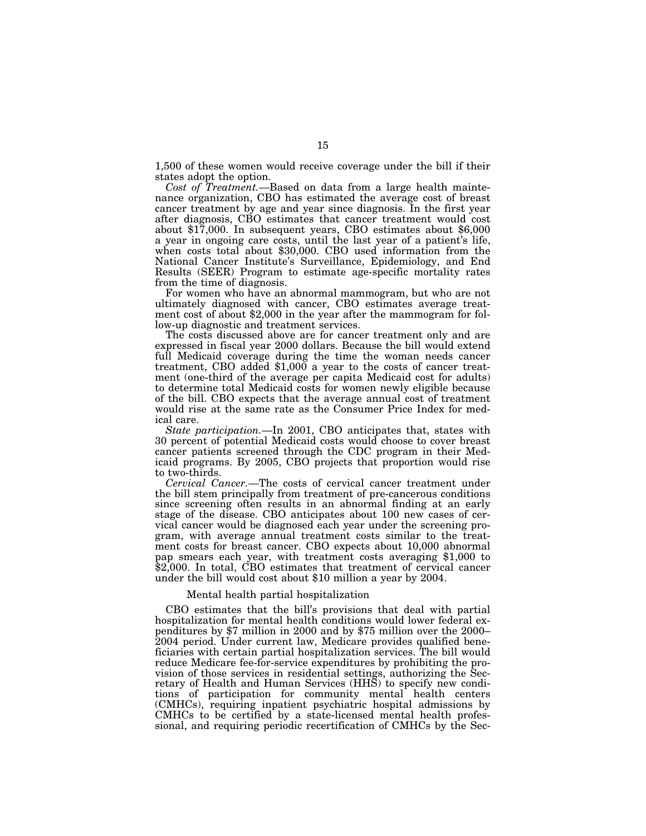1,500 of these women would receive coverage under the bill if their states adopt the option.

*Cost of Treatment.*—Based on data from a large health maintenance organization, CBO has estimated the average cost of breast cancer treatment by age and year since diagnosis. In the first year after diagnosis, CBO estimates that cancer treatment would cost about \$17,000. In subsequent years, CBO estimates about \$6,000 a year in ongoing care costs, until the last year of a patient's life, when costs total about \$30,000. CBO used information from the National Cancer Institute's Surveillance, Epidemiology, and End Results (SEER) Program to estimate age-specific mortality rates from the time of diagnosis.

For women who have an abnormal mammogram, but who are not ultimately diagnosed with cancer, CBO estimates average treatment cost of about \$2,000 in the year after the mammogram for follow-up diagnostic and treatment services.

The costs discussed above are for cancer treatment only and are expressed in fiscal year 2000 dollars. Because the bill would extend full Medicaid coverage during the time the woman needs cancer treatment, CBO added \$1,000 a year to the costs of cancer treatment (one-third of the average per capita Medicaid cost for adults) to determine total Medicaid costs for women newly eligible because of the bill. CBO expects that the average annual cost of treatment would rise at the same rate as the Consumer Price Index for medical care.

*State participation.*—In 2001, CBO anticipates that, states with 30 percent of potential Medicaid costs would choose to cover breast cancer patients screened through the CDC program in their Medicaid programs. By 2005, CBO projects that proportion would rise to two-thirds.

*Cervical Cancer.*—The costs of cervical cancer treatment under the bill stem principally from treatment of pre-cancerous conditions since screening often results in an abnormal finding at an early stage of the disease. CBO anticipates about 100 new cases of cervical cancer would be diagnosed each year under the screening program, with average annual treatment costs similar to the treatment costs for breast cancer. CBO expects about 10,000 abnormal pap smears each year, with treatment costs averaging \$1,000 to \$2,000. In total, CBO estimates that treatment of cervical cancer under the bill would cost about \$10 million a year by 2004.

# Mental health partial hospitalization

CBO estimates that the bill's provisions that deal with partial hospitalization for mental health conditions would lower federal expenditures by \$7 million in 2000 and by \$75 million over the 2000– 2004 period. Under current law, Medicare provides qualified beneficiaries with certain partial hospitalization services. The bill would reduce Medicare fee-for-service expenditures by prohibiting the provision of those services in residential settings, authorizing the Secretary of Health and Human Services (HHS) to specify new conditions of participation for community mental health centers (CMHCs), requiring inpatient psychiatric hospital admissions by CMHCs to be certified by a state-licensed mental health professional, and requiring periodic recertification of CMHCs by the Sec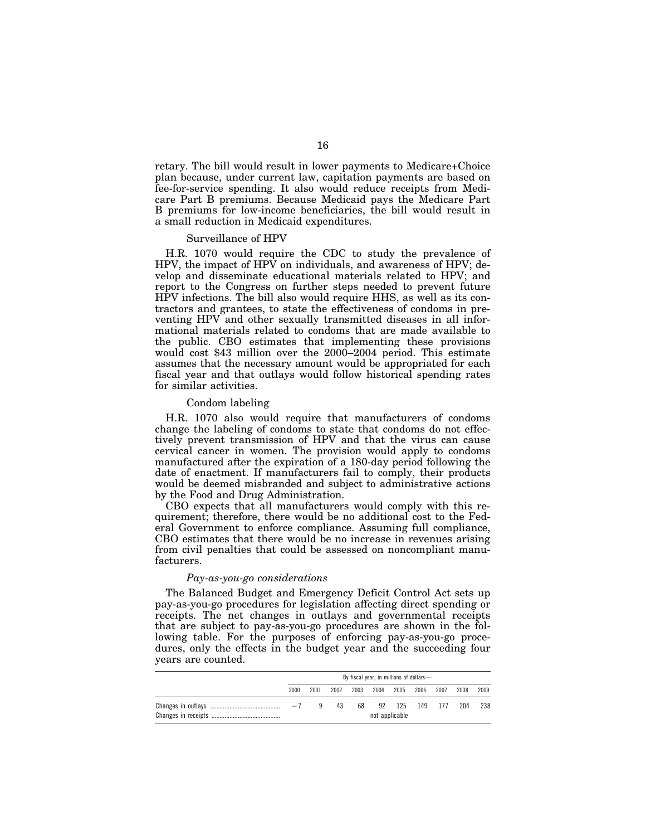retary. The bill would result in lower payments to Medicare+Choice plan because, under current law, capitation payments are based on fee-for-service spending. It also would reduce receipts from Medicare Part B premiums. Because Medicaid pays the Medicare Part B premiums for low-income beneficiaries, the bill would result in a small reduction in Medicaid expenditures.

#### Surveillance of HPV

H.R. 1070 would require the CDC to study the prevalence of HPV, the impact of HPV on individuals, and awareness of HPV; develop and disseminate educational materials related to HPV; and report to the Congress on further steps needed to prevent future HPV infections. The bill also would require HHS, as well as its contractors and grantees, to state the effectiveness of condoms in preventing HPV and other sexually transmitted diseases in all informational materials related to condoms that are made available to the public. CBO estimates that implementing these provisions would cost \$43 million over the 2000–2004 period. This estimate assumes that the necessary amount would be appropriated for each fiscal year and that outlays would follow historical spending rates for similar activities.

#### Condom labeling

H.R. 1070 also would require that manufacturers of condoms change the labeling of condoms to state that condoms do not effectively prevent transmission of HPV and that the virus can cause cervical cancer in women. The provision would apply to condoms manufactured after the expiration of a 180-day period following the date of enactment. If manufacturers fail to comply, their products would be deemed misbranded and subject to administrative actions by the Food and Drug Administration.

CBO expects that all manufacturers would comply with this requirement; therefore, there would be no additional cost to the Federal Government to enforce compliance. Assuming full compliance, CBO estimates that there would be no increase in revenues arising from civil penalties that could be assessed on noncompliant manufacturers.

#### *Pay-as-you-go considerations*

The Balanced Budget and Emergency Deficit Control Act sets up pay-as-you-go procedures for legislation affecting direct spending or receipts. The net changes in outlays and governmental receipts that are subject to pay-as-you-go procedures are shown in the following table. For the purposes of enforcing pay-as-you-go procedures, only the effects in the budget year and the succeeding four years are counted.

|  | By fiscal year, in millions of dollars- |      |      |      |      |                |      |      |      |      |
|--|-----------------------------------------|------|------|------|------|----------------|------|------|------|------|
|  | 2000                                    | 2001 | 2002 | 2003 | 2004 | 2005           | 2006 | 2007 | 2008 | 2009 |
|  | $-7$                                    | q    | 43   | 68   | 92   | 125            | 149  | 177  | 204  | 238  |
|  |                                         |      |      |      |      | not applicable |      |      |      |      |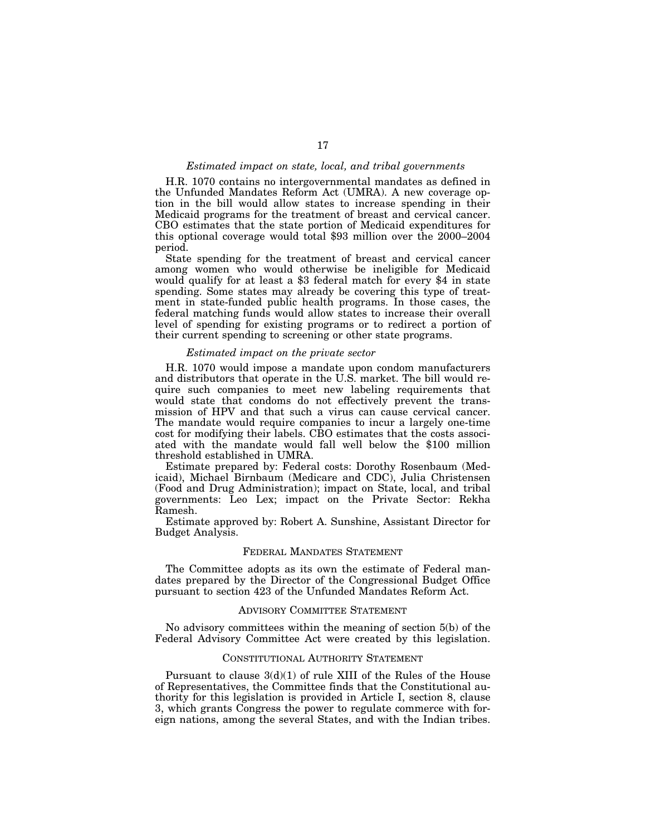#### *Estimated impact on state, local, and tribal governments*

H.R. 1070 contains no intergovernmental mandates as defined in the Unfunded Mandates Reform Act (UMRA). A new coverage option in the bill would allow states to increase spending in their Medicaid programs for the treatment of breast and cervical cancer. CBO estimates that the state portion of Medicaid expenditures for this optional coverage would total \$93 million over the 2000–2004 period.

State spending for the treatment of breast and cervical cancer among women who would otherwise be ineligible for Medicaid would qualify for at least a \$3 federal match for every \$4 in state spending. Some states may already be covering this type of treatment in state-funded public health programs. In those cases, the federal matching funds would allow states to increase their overall level of spending for existing programs or to redirect a portion of their current spending to screening or other state programs.

#### *Estimated impact on the private sector*

H.R. 1070 would impose a mandate upon condom manufacturers and distributors that operate in the U.S. market. The bill would require such companies to meet new labeling requirements that would state that condoms do not effectively prevent the transmission of HPV and that such a virus can cause cervical cancer. The mandate would require companies to incur a largely one-time cost for modifying their labels. CBO estimates that the costs associated with the mandate would fall well below the \$100 million threshold established in UMRA.

Estimate prepared by: Federal costs: Dorothy Rosenbaum (Medicaid), Michael Birnbaum (Medicare and CDC), Julia Christensen (Food and Drug Administration); impact on State, local, and tribal governments: Leo Lex; impact on the Private Sector: Rekha Ramesh.

Estimate approved by: Robert A. Sunshine, Assistant Director for Budget Analysis.

# FEDERAL MANDATES STATEMENT

The Committee adopts as its own the estimate of Federal mandates prepared by the Director of the Congressional Budget Office pursuant to section 423 of the Unfunded Mandates Reform Act.

#### ADVISORY COMMITTEE STATEMENT

No advisory committees within the meaning of section 5(b) of the Federal Advisory Committee Act were created by this legislation.

#### CONSTITUTIONAL AUTHORITY STATEMENT

Pursuant to clause 3(d)(1) of rule XIII of the Rules of the House of Representatives, the Committee finds that the Constitutional authority for this legislation is provided in Article I, section 8, clause 3, which grants Congress the power to regulate commerce with foreign nations, among the several States, and with the Indian tribes.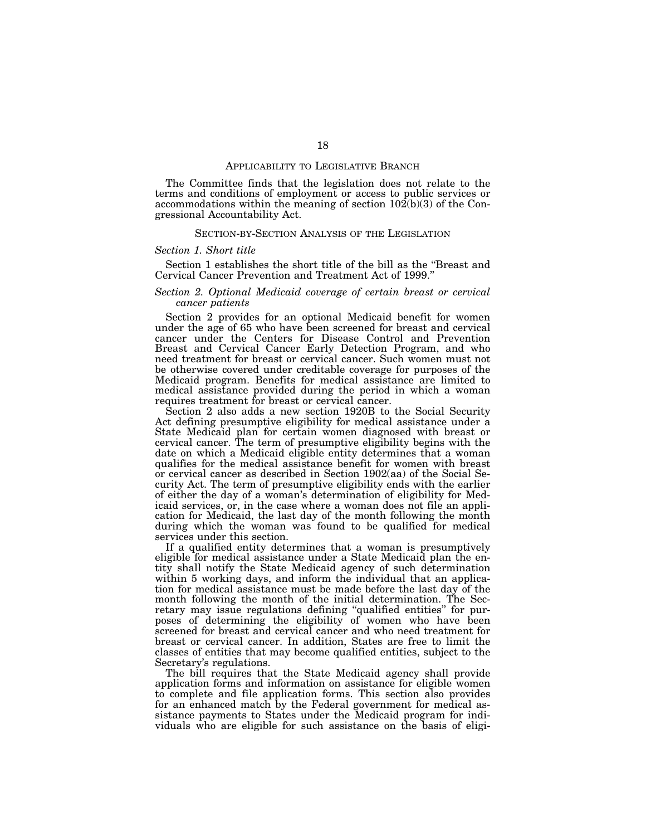#### APPLICABILITY TO LEGISLATIVE BRANCH

The Committee finds that the legislation does not relate to the terms and conditions of employment or access to public services or accommodations within the meaning of section  $10\dot{2}(b)(3)$  of the Congressional Accountability Act.

#### SECTION-BY-SECTION ANALYSIS OF THE LEGISLATION

#### *Section 1. Short title*

Section 1 establishes the short title of the bill as the ''Breast and Cervical Cancer Prevention and Treatment Act of 1999.''

## *Section 2. Optional Medicaid coverage of certain breast or cervical cancer patients*

Section 2 provides for an optional Medicaid benefit for women under the age of 65 who have been screened for breast and cervical cancer under the Centers for Disease Control and Prevention Breast and Cervical Cancer Early Detection Program, and who need treatment for breast or cervical cancer. Such women must not be otherwise covered under creditable coverage for purposes of the Medicaid program. Benefits for medical assistance are limited to medical assistance provided during the period in which a woman requires treatment for breast or cervical cancer.

Section 2 also adds a new section 1920B to the Social Security Act defining presumptive eligibility for medical assistance under a State Medicaid plan for certain women diagnosed with breast or cervical cancer. The term of presumptive eligibility begins with the date on which a Medicaid eligible entity determines that a woman qualifies for the medical assistance benefit for women with breast or cervical cancer as described in Section 1902(aa) of the Social Security Act. The term of presumptive eligibility ends with the earlier of either the day of a woman's determination of eligibility for Medicaid services, or, in the case where a woman does not file an application for Medicaid, the last day of the month following the month during which the woman was found to be qualified for medical services under this section.

If a qualified entity determines that a woman is presumptively eligible for medical assistance under a State Medicaid plan the entity shall notify the State Medicaid agency of such determination within 5 working days, and inform the individual that an application for medical assistance must be made before the last day of the month following the month of the initial determination. The Secretary may issue regulations defining ''qualified entities'' for purposes of determining the eligibility of women who have been screened for breast and cervical cancer and who need treatment for breast or cervical cancer. In addition, States are free to limit the classes of entities that may become qualified entities, subject to the Secretary's regulations.

The bill requires that the State Medicaid agency shall provide application forms and information on assistance for eligible women to complete and file application forms. This section also provides for an enhanced match by the Federal government for medical assistance payments to States under the Medicaid program for individuals who are eligible for such assistance on the basis of eligi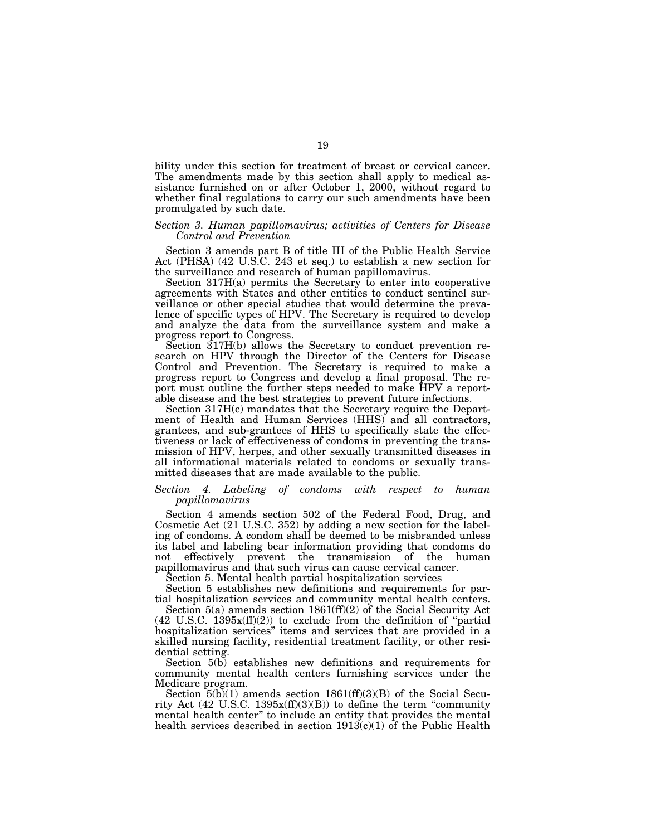bility under this section for treatment of breast or cervical cancer. The amendments made by this section shall apply to medical assistance furnished on or after October 1, 2000, without regard to whether final regulations to carry our such amendments have been promulgated by such date.

## *Section 3. Human papillomavirus; activities of Centers for Disease Control and Prevention*

Section 3 amends part B of title III of the Public Health Service Act (PHSA) (42 U.S.C. 243 et seq.) to establish a new section for the surveillance and research of human papillomavirus.

Section 317H(a) permits the Secretary to enter into cooperative agreements with States and other entities to conduct sentinel surveillance or other special studies that would determine the prevalence of specific types of HPV. The Secretary is required to develop and analyze the data from the surveillance system and make a progress report to Congress.

Section 317H(b) allows the Secretary to conduct prevention research on HPV through the Director of the Centers for Disease Control and Prevention. The Secretary is required to make a progress report to Congress and develop a final proposal. The report must outline the further steps needed to make HPV a reportable disease and the best strategies to prevent future infections.

Section 317H(c) mandates that the Secretary require the Department of Health and Human Services (HHS) and all contractors, grantees, and sub-grantees of HHS to specifically state the effectiveness or lack of effectiveness of condoms in preventing the transmission of HPV, herpes, and other sexually transmitted diseases in all informational materials related to condoms or sexually transmitted diseases that are made available to the public.

#### *Section 4. Labeling of condoms with respect to human papillomavirus*

Section 4 amends section 502 of the Federal Food, Drug, and Cosmetic Act (21 U.S.C. 352) by adding a new section for the labeling of condoms. A condom shall be deemed to be misbranded unless its label and labeling bear information providing that condoms do not effectively prevent the transmission of the human papillomavirus and that such virus can cause cervical cancer.

Section 5. Mental health partial hospitalization services

Section 5 establishes new definitions and requirements for partial hospitalization services and community mental health centers.

Section 5(a) amends section 1861(ff)(2) of the Social Security Act  $(42 \text{ U.S.C. } 1395x\text{ (ff)}\text{ (2)})$  to exclude from the definition of "partial hospitalization services'' items and services that are provided in a skilled nursing facility, residential treatment facility, or other residential setting.

Section  $5(b)$  establishes new definitions and requirements for community mental health centers furnishing services under the Medicare program.

Section  $5(b)(1)$  amends section  $1861(f)(3)(B)$  of the Social Security Act  $(42 \text{ U.S.C. } 1395x\text{ (ff)}\text{ (3)}\text{ (B)})$  to define the term "community mental health center'' to include an entity that provides the mental health services described in section  $1913(c)(1)$  of the Public Health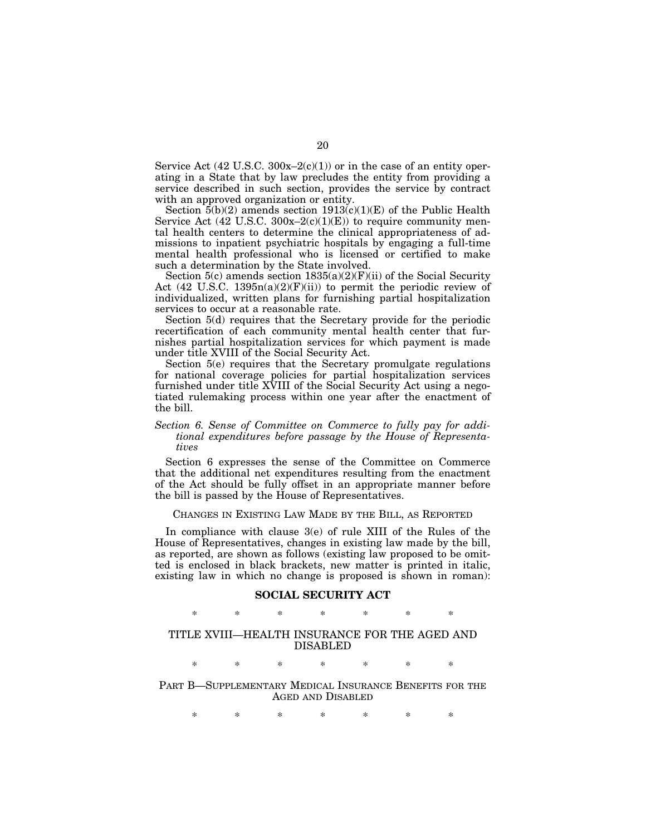Service Act  $(42 \text{ U.S.C. } 300x-2(c)(1))$  or in the case of an entity operating in a State that by law precludes the entity from providing a service described in such section, provides the service by contract with an approved organization or entity.

Section  $\bar{5}$ (b)(2) amends section 1913(c)(1)(E) of the Public Health Service Act  $(42 \text{ U.S.C. } 300x-2(c)(1)(E))$  to require community mental health centers to determine the clinical appropriateness of admissions to inpatient psychiatric hospitals by engaging a full-time mental health professional who is licensed or certified to make such a determination by the State involved.

Section  $5(c)$  amends section  $1835(a)(2)(F)(ii)$  of the Social Security Act (42 U.S.C. 1395n(a)(2)(F)(ii)) to permit the periodic review of individualized, written plans for furnishing partial hospitalization services to occur at a reasonable rate.

Section 5(d) requires that the Secretary provide for the periodic recertification of each community mental health center that furnishes partial hospitalization services for which payment is made under title XVIII of the Social Security Act.

Section 5(e) requires that the Secretary promulgate regulations for national coverage policies for partial hospitalization services furnished under title XVIII of the Social Security Act using a negotiated rulemaking process within one year after the enactment of the bill.

# *Section 6. Sense of Committee on Commerce to fully pay for additional expenditures before passage by the House of Representatives*

Section 6 expresses the sense of the Committee on Commerce that the additional net expenditures resulting from the enactment of the Act should be fully offset in an appropriate manner before the bill is passed by the House of Representatives.

CHANGES IN EXISTING LAW MADE BY THE BILL, AS REPORTED

In compliance with clause 3(e) of rule XIII of the Rules of the House of Representatives, changes in existing law made by the bill, as reported, are shown as follows (existing law proposed to be omitted is enclosed in black brackets, new matter is printed in italic, existing law in which no change is proposed is shown in roman):

# **SOCIAL SECURITY ACT** \* \* \* \* \* \* \*

# TITLE XVIII—HEALTH INSURANCE FOR THE AGED AND DISABLED

\* \* \* \* \* \* \*

PART B—SUPPLEMENTARY MEDICAL INSURANCE BENEFITS FOR THE AGED AND DISABLED

\* \* \* \* \* \* \*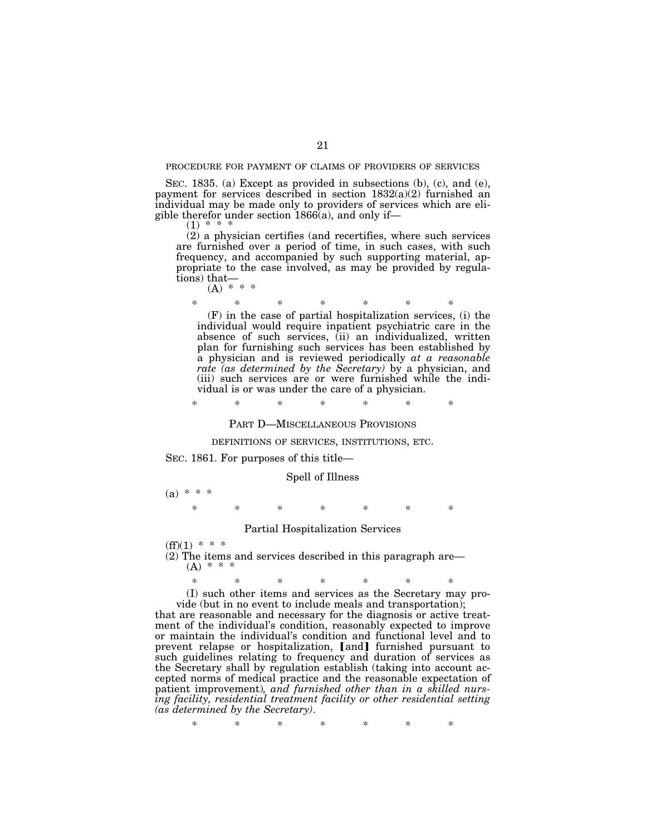#### PROCEDURE FOR PAYMENT OF CLAIMS OF PROVIDERS OF SERVICES

SEC. 1835. (a) Except as provided in subsections (b), (c), and (e), payment for services described in section  $1832(a)(2)$  furnished an individual may be made only to providers of services which are eligible therefor under section  $1866(a)$ , and only if—

 $(1)$  \*

(2) a physician certifies (and recertifies, where such services are furnished over a period of time, in such cases, with such frequency, and accompanied by such supporting material, appropriate to the case involved, as may be provided by regulations) that—

 $(A) * * * *$ 

\* \* \* \* \* \* \*

(F) in the case of partial hospitalization services, (i) the individual would require inpatient psychiatric care in the absence of such services, (ii) an individualized, written plan for furnishing such services has been established by a physician and is reviewed periodically *at a reasonable rate (as determined by the Secretary)* by a physician, and (iii) such services are or were furnished while the individual is or was under the care of a physician.

\* \* \* \* \* \* \*

#### PART D—MISCELLANEOUS PROVISIONS

#### DEFINITIONS OF SERVICES, INSTITUTIONS, ETC.

#### SEC. 1861. For purposes of this title—

#### Spell of Illness

(a) \* \* \*

\* \* \* \* \* \* \*

#### Partial Hospitalization Services

 $(ff)(1)$  \* \* \*

(2) The items and services described in this paragraph are—  $(A) * * *$ 

\* \* \* \* \* \* \*

(I) such other items and services as the Secretary may provide (but in no event to include meals and transportation);

that are reasonable and necessary for the diagnosis or active treatment of the individual's condition, reasonably expected to improve or maintain the individual's condition and functional level and to prevent relapse or hospitalization, [and] furnished pursuant to such guidelines relating to frequency and duration of services as the Secretary shall by regulation establish (taking into account accepted norms of medical practice and the reasonable expectation of patient improvement)*, and furnished other than in a skilled nursing facility, residential treatment facility or other residential setting (as determined by the Secretary)*.

\* \* \* \* \* \* \*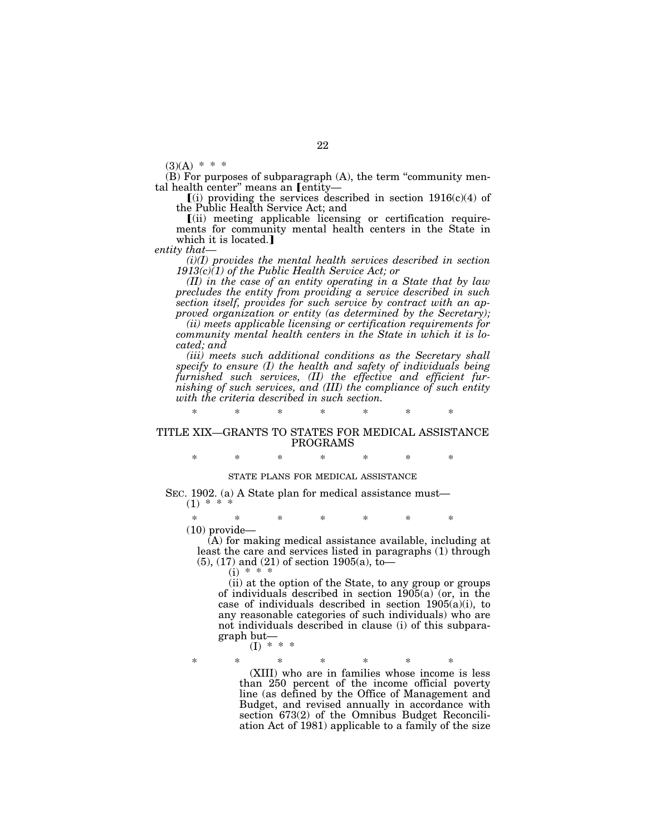$(3)(A)$  \* \* \*

(B) For purposes of subparagraph (A), the term ''community mental health center" means an *Lentity*-

 $(i)$  providing the services described in section 1916(c)(4) of the Public Health Service Act; and

ø(ii) meeting applicable licensing or certification requirements for community mental health centers in the State in which it is located.

*entity that—*

*(i)(I) provides the mental health services described in section 1913(c)(1) of the Public Health Service Act; or*

*(II) in the case of an entity operating in a State that by law precludes the entity from providing a service described in such section itself, provides for such service by contract with an approved organization or entity (as determined by the Secretary);*

*(ii) meets applicable licensing or certification requirements for community mental health centers in the State in which it is located; and*

*(iii) meets such additional conditions as the Secretary shall specify to ensure (I) the health and safety of individuals being furnished such services, (II) the effective and efficient furnishing of such services, and (III) the compliance of such entity with the criteria described in such section.*

## TITLE XIX—GRANTS TO STATES FOR MEDICAL ASSISTANCE PROGRAMS

\* \* \* \* \* \* \*

\* \* \* \* \* \* \*

# STATE PLANS FOR MEDICAL ASSISTANCE

SEC. 1902. (a) A State plan for medical assistance must—  $(1) * *$ 

\* \* \* \* \* \* \* (10) provide—

(A) for making medical assistance available, including at least the care and services listed in paragraphs (1) through  $(5)$ ,  $(17)$  and  $(21)$  of section 1905 $(a)$ , to

 $(i) * * *$ 

(ii) at the option of the State, to any group or groups of individuals described in section 1905(a) (or, in the case of individuals described in section 1905(a)(i), to any reasonable categories of such individuals) who are not individuals described in clause (i) of this subparagraph but—  $(I)$  \* \* \*

\* \* \* \* \* \* \* (XIII) who are in families whose income is less than 250 percent of the income official poverty line (as defined by the Office of Management and Budget, and revised annually in accordance with section 673(2) of the Omnibus Budget Reconciliation Act of 1981) applicable to a family of the size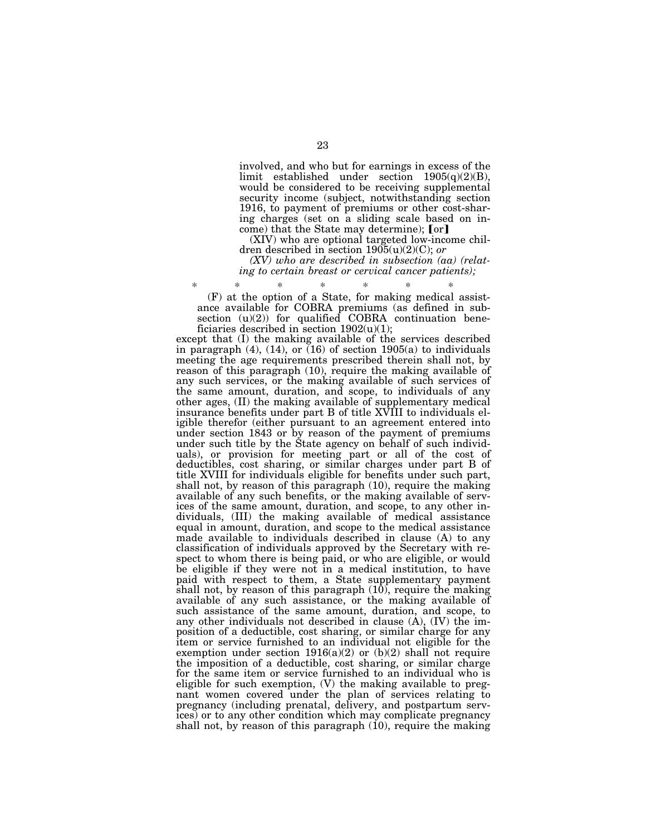involved, and who but for earnings in excess of the limit established under section  $1905(q)(2)(B)$ , would be considered to be receiving supplemental security income (subject, notwithstanding section 1916, to payment of premiums or other cost-sharing charges (set on a sliding scale based on income) that the State may determine); [or]

(XIV) who are optional targeted low-income children described in section 1905(u)(2)(C); *or*

*(XV) who are described in subsection (aa) (relating to certain breast or cervical cancer patients);*

\* \* \* \* \* \* \* (F) at the option of a State, for making medical assistance available for COBRA premiums (as defined in subsection  $(u)(2)$ ) for qualified COBRA continuation beneficiaries described in section  $1902(u)(1)$ ;

except that (I) the making available of the services described in paragraph  $(4)$ ,  $(14)$ , or  $(16)$  of section 1905(a) to individuals meeting the age requirements prescribed therein shall not, by reason of this paragraph (10), require the making available of any such services, or the making available of such services of the same amount, duration, and scope, to individuals of any other ages, (II) the making available of supplementary medical insurance benefits under part B of title XVIII to individuals eligible therefor (either pursuant to an agreement entered into under section 1843 or by reason of the payment of premiums under such title by the State agency on behalf of such individuals), or provision for meeting part or all of the cost of deductibles, cost sharing, or similar charges under part B of title XVIII for individuals eligible for benefits under such part, shall not, by reason of this paragraph (10), require the making available of any such benefits, or the making available of services of the same amount, duration, and scope, to any other individuals, (III) the making available of medical assistance equal in amount, duration, and scope to the medical assistance made available to individuals described in clause (A) to any classification of individuals approved by the Secretary with respect to whom there is being paid, or who are eligible, or would be eligible if they were not in a medical institution, to have paid with respect to them, a State supplementary payment shall not, by reason of this paragraph  $(10)$ , require the making available of any such assistance, or the making available of such assistance of the same amount, duration, and scope, to any other individuals not described in clause (A), (IV) the imposition of a deductible, cost sharing, or similar charge for any item or service furnished to an individual not eligible for the exemption under section  $1916(a)(2)$  or  $(b)(2)$  shall not require the imposition of a deductible, cost sharing, or similar charge for the same item or service furnished to an individual who is eligible for such exemption, (V) the making available to pregnant women covered under the plan of services relating to pregnancy (including prenatal, delivery, and postpartum services) or to any other condition which may complicate pregnancy shall not, by reason of this paragraph (10), require the making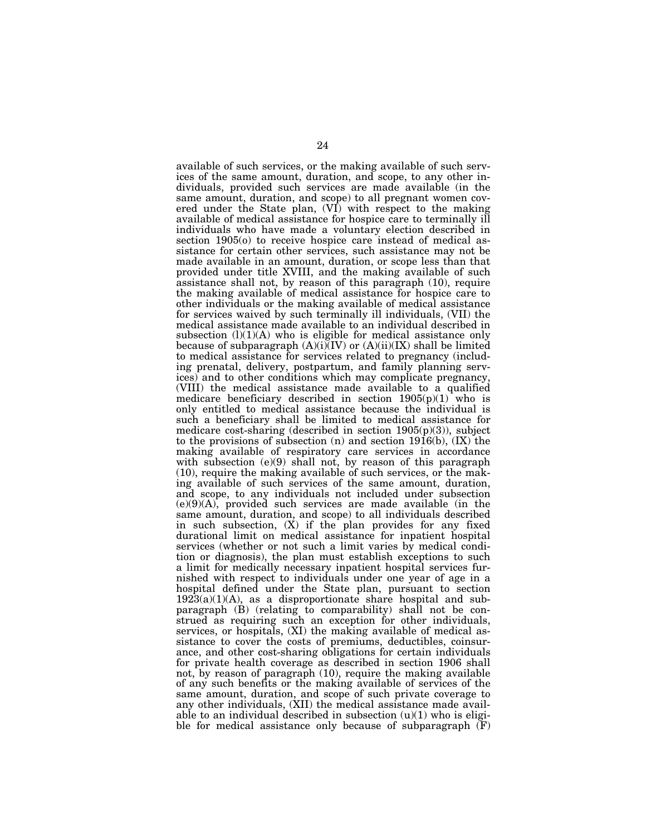available of such services, or the making available of such services of the same amount, duration, and scope, to any other individuals, provided such services are made available (in the same amount, duration, and scope) to all pregnant women covered under the State plan, (VI) with respect to the making available of medical assistance for hospice care to terminally ill individuals who have made a voluntary election described in section  $1905$ (o) to receive hospice care instead of medical assistance for certain other services, such assistance may not be made available in an amount, duration, or scope less than that provided under title XVIII, and the making available of such assistance shall not, by reason of this paragraph (10), require the making available of medical assistance for hospice care to other individuals or the making available of medical assistance for services waived by such terminally ill individuals, (VII) the medical assistance made available to an individual described in subsection  $(l)(1)(A)$  who is eligible for medical assistance only because of subparagraph  $(A)(i)(IV)$  or  $(A)(ii)(IX)$  shall be limited to medical assistance for services related to pregnancy (including prenatal, delivery, postpartum, and family planning services) and to other conditions which may complicate pregnancy, (VIII) the medical assistance made available to a qualified medicare beneficiary described in section  $1905(p)(1)$  who is only entitled to medical assistance because the individual is such a beneficiary shall be limited to medical assistance for medicare cost-sharing (described in section  $1905(p)(3)$ ), subject to the provisions of subsection  $(n)$  and section 1916 $(b)$ ,  $(IX)$  the making available of respiratory care services in accordance with subsection (e)(9) shall not, by reason of this paragraph (10), require the making available of such services, or the making available of such services of the same amount, duration, and scope, to any individuals not included under subsection  $(e)(9)(A)$ , provided such services are made available (in the same amount, duration, and scope) to all individuals described in such subsection,  $(X)$  if the plan provides for any fixed durational limit on medical assistance for inpatient hospital services (whether or not such a limit varies by medical condition or diagnosis), the plan must establish exceptions to such a limit for medically necessary inpatient hospital services furnished with respect to individuals under one year of age in a hospital defined under the State plan, pursuant to section  $192\overline{3}(a)(1)(A)$ , as a disproportionate share hospital and subparagraph (B) (relating to comparability) shall not be construed as requiring such an exception for other individuals, services, or hospitals, (XI) the making available of medical assistance to cover the costs of premiums, deductibles, coinsurance, and other cost-sharing obligations for certain individuals for private health coverage as described in section 1906 shall not, by reason of paragraph (10), require the making available of any such benefits or the making available of services of the same amount, duration, and scope of such private coverage to any other individuals, (XII) the medical assistance made available to an individual described in subsection  $(u)(1)$  who is eligible for medical assistance only because of subparagraph  $(F)$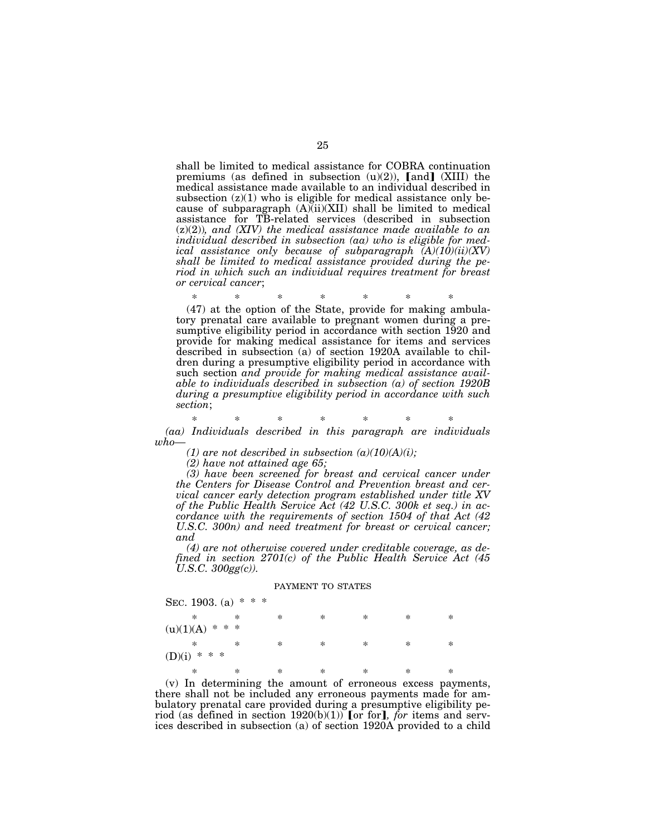shall be limited to medical assistance for COBRA continuation premiums (as defined in subsection  $(u)(2)$ ), [and] (XIII) the medical assistance made available to an individual described in subsection  $(z)(1)$  who is eligible for medical assistance only because of subparagraph  $(A)(ii)(XII)$  shall be limited to medical assistance for TB-related services (described in subsection (z)(2))*, and (XIV) the medical assistance made available to an individual described in subsection (aa) who is eligible for medical assistance only because of subparagraph (A)(10)(ii)(XV) shall be limited to medical assistance provided during the period in which such an individual requires treatment for breast or cervical cancer*;

\* \* \* \* \* \* \*

(47) at the option of the State, provide for making ambulatory prenatal care available to pregnant women during a presumptive eligibility period in accordance with section 1920 and provide for making medical assistance for items and services described in subsection (a) of section 1920A available to children during a presumptive eligibility period in accordance with such section *and provide for making medical assistance available to individuals described in subsection (a) of section 1920B during a presumptive eligibility period in accordance with such section*;

# \* \* \* \* \* \* \*

*(aa) Individuals described in this paragraph are individuals who—*

(1) are not described in subsection  $(a)(10)(A)(i)$ ;

*(2) have not attained age 65;*

*(3) have been screened for breast and cervical cancer under the Centers for Disease Control and Prevention breast and cervical cancer early detection program established under title XV of the Public Health Service Act (42 U.S.C. 300k et seq.) in accordance with the requirements of section 1504 of that Act (42 U.S.C. 300n) and need treatment for breast or cervical cancer; and*

*(4) are not otherwise covered under creditable coverage, as defined in section 2701(c) of the Public Health Service Act (45 U.S.C. 300gg(c)).*

#### PAYMENT TO STATES

| SEC. 1903. (a) $* * *$ |   |   |        |        |   |        |   |  |  |
|------------------------|---|---|--------|--------|---|--------|---|--|--|
|                        | ∗ | ∗ | $\ast$ | ∗      | ∗ | $\ast$ | ∗ |  |  |
| $(u)(1)(A)$ * * *      |   |   |        |        |   |        |   |  |  |
|                        | ∗ | ∗ | ∗      | ∗      | ∗ | ∗      | ∗ |  |  |
| $(D)(i)$ * * *         |   |   |        |        |   |        |   |  |  |
|                        | ∗ | ∗ | *      | $\ast$ | ∗ | $\ast$ | ∗ |  |  |

(v) In determining the amount of erroneous excess payments, there shall not be included any erroneous payments made for ambulatory prenatal care provided during a presumptive eligibility period (as defined in section  $1920(b)(1)$ ) for for, *for* items and services described in subsection (a) of section 1920A provided to a child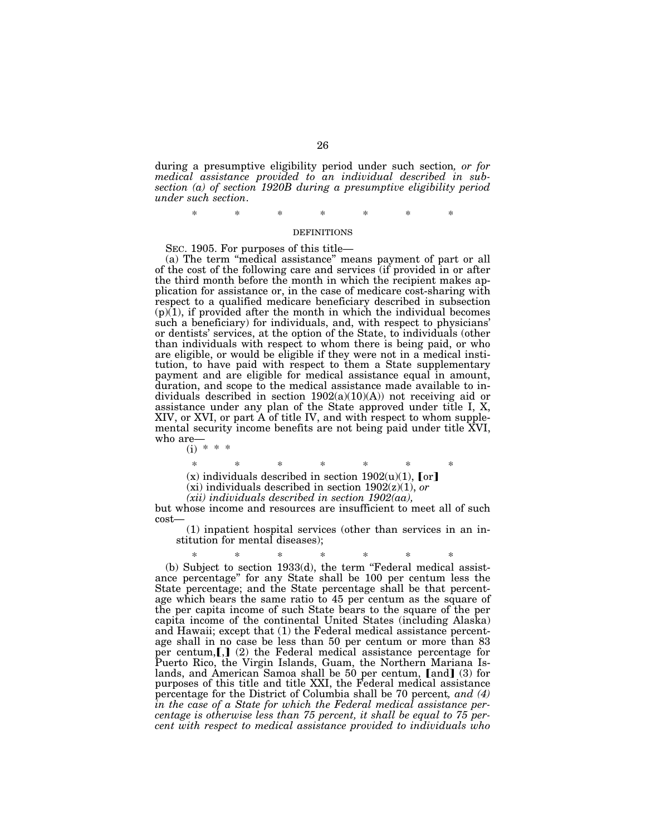during a presumptive eligibility period under such section*, or for medical assistance provided to an individual described in subsection (a) of section 1920B during a presumptive eligibility period under such section*.

\* \* \* \* \* \* \*

#### DEFINITIONS

SEC. 1905. For purposes of this title—

(a) The term ''medical assistance'' means payment of part or all of the cost of the following care and services (if provided in or after the third month before the month in which the recipient makes application for assistance or, in the case of medicare cost-sharing with respect to a qualified medicare beneficiary described in subsection  $(p)(1)$ , if provided after the month in which the individual becomes such a beneficiary) for individuals, and, with respect to physicians' or dentists' services, at the option of the State, to individuals (other than individuals with respect to whom there is being paid, or who are eligible, or would be eligible if they were not in a medical institution, to have paid with respect to them a State supplementary payment and are eligible for medical assistance equal in amount, duration, and scope to the medical assistance made available to individuals described in section  $1902(a)(10)(A)$  not receiving aid or assistance under any plan of the State approved under title I, X, XIV, or XVI, or part A of title IV, and with respect to whom supplemental security income benefits are not being paid under title XVI, who are—

(i) \* \* \*

\* \* \* \* \* \* \*

(x) individuals described in section  $1902(u)(1)$ , [or]

(xi) individuals described in section 1902(z)(1), *or*

*(xii) individuals described in section 1902(aa),*

but whose income and resources are insufficient to meet all of such cost—

(1) inpatient hospital services (other than services in an institution for mental diseases);

\* \* \* \* \* \* \* (b) Subject to section 1933(d), the term ''Federal medical assistance percentage'' for any State shall be 100 per centum less the State percentage; and the State percentage shall be that percentage which bears the same ratio to 45 per centum as the square of the per capita income of such State bears to the square of the per capita income of the continental United States (including Alaska) and Hawaii; except that (1) the Federal medical assistance percentage shall in no case be less than 50 per centum or more than 83 per centum, $[$ , $]$  (2) the Federal medical assistance percentage for Puerto Rico, the Virgin Islands, Guam, the Northern Mariana Islands, and American Samoa shall be 50 per centum, [and] (3) for purposes of this title and title XXI, the Federal medical assistance percentage for the District of Columbia shall be 70 percent*, and (4) in the case of a State for which the Federal medical assistance percentage is otherwise less than 75 percent, it shall be equal to 75 percent with respect to medical assistance provided to individuals who*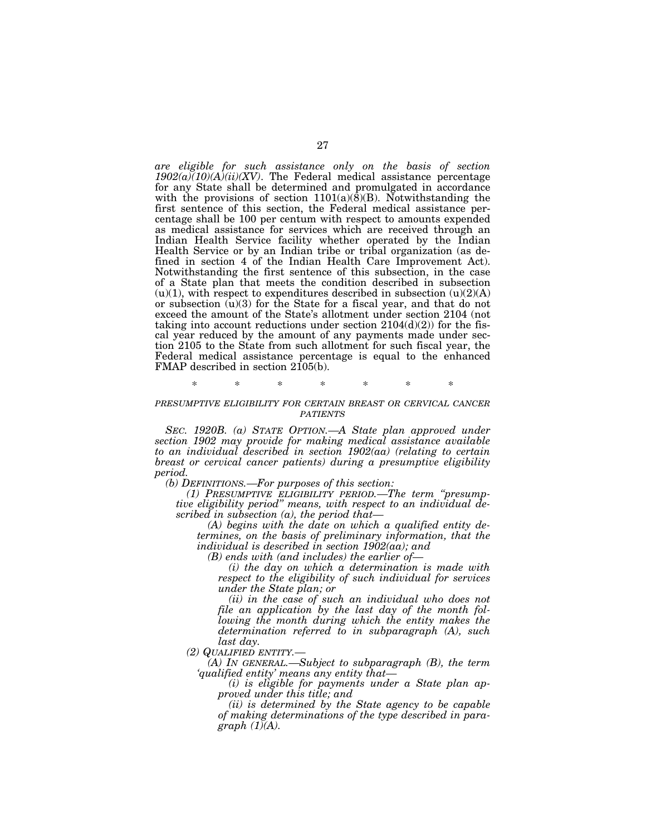*are eligible for such assistance only on the basis of section 1902(a)(10)(A)(ii)(XV)*. The Federal medical assistance percentage for any State shall be determined and promulgated in accordance with the provisions of section  $1101(a)(\overline{8})(B)$ . Notwithstanding the first sentence of this section, the Federal medical assistance percentage shall be 100 per centum with respect to amounts expended as medical assistance for services which are received through an Indian Health Service facility whether operated by the Indian Health Service or by an Indian tribe or tribal organization (as defined in section 4 of the Indian Health Care Improvement Act). Notwithstanding the first sentence of this subsection, in the case of a State plan that meets the condition described in subsection  $(u)(1)$ , with respect to expenditures described in subsection  $(u)(2)(A)$ or subsection  $(u)(3)$  for the State for a fiscal year, and that do not exceed the amount of the State's allotment under section 2104 (not taking into account reductions under section  $2104(d)(2)$  for the fiscal year reduced by the amount of any payments made under section 2105 to the State from such allotment for such fiscal year, the Federal medical assistance percentage is equal to the enhanced FMAP described in section 2105(b).

\* \* \* \* \* \* \*

# *PRESUMPTIVE ELIGIBILITY FOR CERTAIN BREAST OR CERVICAL CANCER PATIENTS*

*SEC. 1920B. (a) STATE OPTION.—A State plan approved under section 1902 may provide for making medical assistance available to an individual described in section 1902(aa) (relating to certain breast or cervical cancer patients) during a presumptive eligibility period.*

*(b) DEFINITIONS.—For purposes of this section:*

*(1) PRESUMPTIVE ELIGIBILITY PERIOD.—The term ''presumptive eligibility period'' means, with respect to an individual described in subsection (a), the period that—*

*(A) begins with the date on which a qualified entity determines, on the basis of preliminary information, that the individual is described in section 1902(aa); and*

*(B) ends with (and includes) the earlier of—*

*(i) the day on which a determination is made with respect to the eligibility of such individual for services under the State plan; or*

*(ii) in the case of such an individual who does not file an application by the last day of the month following the month during which the entity makes the determination referred to in subparagraph (A), such last day.*

*(2) QUALIFIED ENTITY.—*

*(A) IN GENERAL.—Subject to subparagraph (B), the term 'qualified entity' means any entity that—*

*(i) is eligible for payments under a State plan approved under this title; and*

*(ii) is determined by the State agency to be capable of making determinations of the type described in paragraph (1)(A).*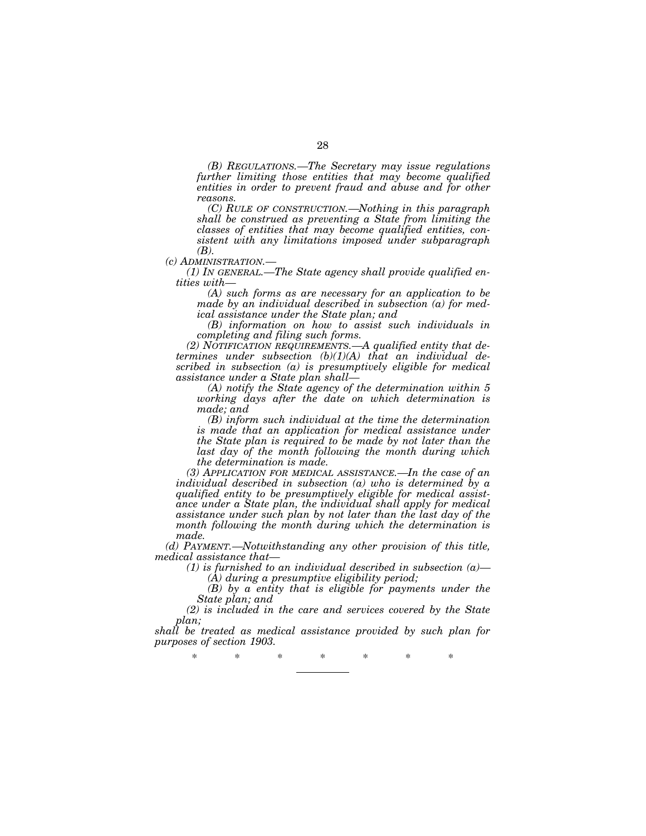*(B) REGULATIONS.—The Secretary may issue regulations further limiting those entities that may become qualified entities in order to prevent fraud and abuse and for other reasons.*

*(C) RULE OF CONSTRUCTION.—Nothing in this paragraph shall be construed as preventing a State from limiting the classes of entities that may become qualified entities, consistent with any limitations imposed under subparagraph*

*(B).*<br>*(c) ADMINISTRATION.*—

*(1) IN GENERAL.—The State agency shall provide qualified entities with—*

*(A) such forms as are necessary for an application to be made by an individual described in subsection (a) for medical assistance under the State plan; and*

*(B) information on how to assist such individuals in completing and filing such forms.*

*(2) NOTIFICATION REQUIREMENTS.—A qualified entity that determines under subsection (b)(1)(A) that an individual described in subsection (a) is presumptively eligible for medical assistance under a State plan shall—*

*(A) notify the State agency of the determination within 5 working days after the date on which determination is made; and*

*(B) inform such individual at the time the determination is made that an application for medical assistance under the State plan is required to be made by not later than the last day of the month following the month during which the determination is made.*

*(3) APPLICATION FOR MEDICAL ASSISTANCE.—In the case of an individual described in subsection (a) who is determined by a qualified entity to be presumptively eligible for medical assistance under a State plan, the individual shall apply for medical assistance under such plan by not later than the last day of the month following the month during which the determination is made.*

*(d) PAYMENT.—Notwithstanding any other provision of this title, medical assistance that—*

*(1) is furnished to an individual described in subsection (a)— (A) during a presumptive eligibility period;*

*(B) by a entity that is eligible for payments under the State plan; and*

*(2) is included in the care and services covered by the State plan;*

*shall be treated as medical assistance provided by such plan for purposes of section 1903.*

\* \* \* \* \* \* \*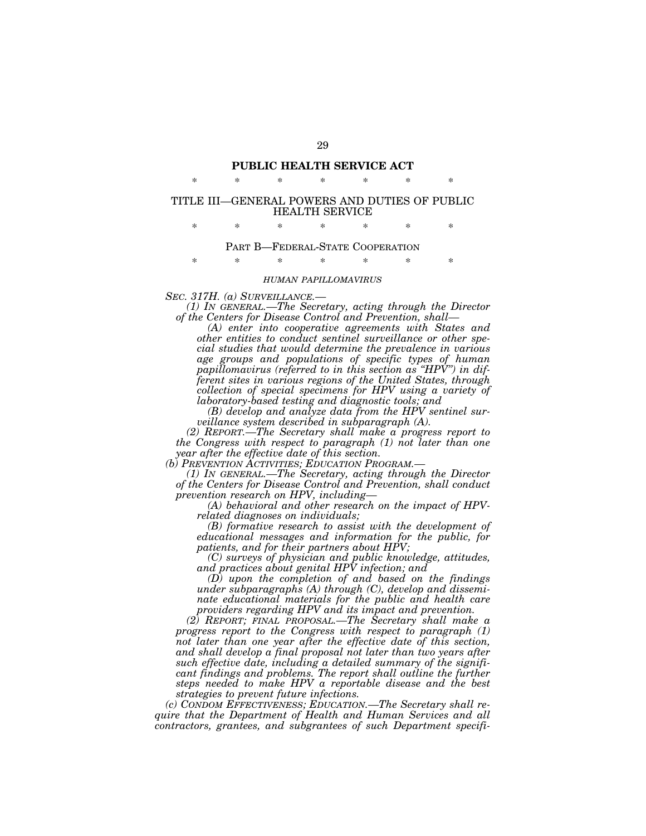# **PUBLIC HEALTH SERVICE ACT** \* \* \* \* \* \* \*

# TITLE III—GENERAL POWERS AND DUTIES OF PUBLIC HEALTH SERVICE

\* \* \* \* \* \* \*

## PART B—FEDERAL-STATE COOPERATION

\* \* \* \* \* \* \*

#### *HUMAN PAPILLOMAVIRUS*

*SEC. 317H. (a) SURVEILLANCE.— (1) IN GENERAL.—The Secretary, acting through the Director of the Centers for Disease Control and Prevention, shall—*

*(A) enter into cooperative agreements with States and other entities to conduct sentinel surveillance or other special studies that would determine the prevalence in various age groups and populations of specific types of human papillomavirus (referred to in this section as ''HPV'') in different sites in various regions of the United States, through collection of special specimens for HPV using a variety of laboratory-based testing and diagnostic tools; and*

*(B) develop and analyze data from the HPV sentinel surveillance system described in subparagraph (A).*

*(2) REPORT.—The Secretary shall make a progress report to the Congress with respect to paragraph (1) not later than one year after the effective date of this section.*

*(1) IN GENERAL.—The Secretary, acting through the Director of the Centers for Disease Control and Prevention, shall conduct prevention research on HPV, including—*

*(A) behavioral and other research on the impact of HPVrelated diagnoses on individuals;*

*(B) formative research to assist with the development of educational messages and information for the public, for patients, and for their partners about HPV;*

*(C) surveys of physician and public knowledge, attitudes, and practices about genital HPV infection; and*

*(D) upon the completion of and based on the findings under subparagraphs (A) through (C), develop and disseminate educational materials for the public and health care providers regarding HPV and its impact and prevention.*

*(2) REPORT; FINAL PROPOSAL.—The Secretary shall make a progress report to the Congress with respect to paragraph (1) not later than one year after the effective date of this section, and shall develop a final proposal not later than two years after such effective date, including a detailed summary of the significant findings and problems. The report shall outline the further steps needed to make HPV a reportable disease and the best strategies to prevent future infections.*

*(c) CONDOM EFFECTIVENESS; EDUCATION.—The Secretary shall require that the Department of Health and Human Services and all contractors, grantees, and subgrantees of such Department specifi-*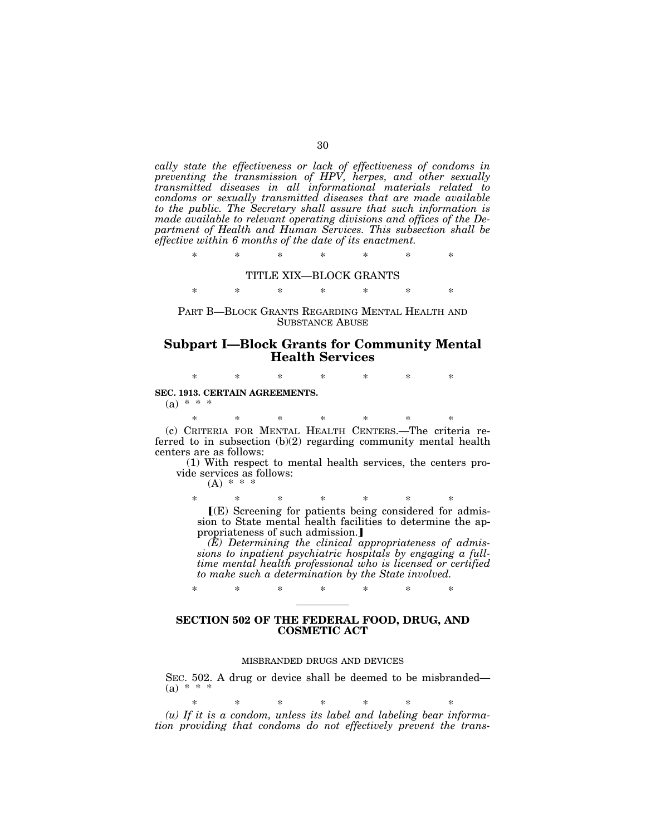*cally state the effectiveness or lack of effectiveness of condoms in preventing the transmission of HPV, herpes, and other sexually transmitted diseases in all informational materials related to condoms or sexually transmitted diseases that are made available to the public. The Secretary shall assure that such information is made available to relevant operating divisions and offices of the Department of Health and Human Services. This subsection shall be effective within 6 months of the date of its enactment.*

\* \* \* \* \* \* \*

### TITLE XIX—BLOCK GRANTS

\* \* \* \* \* \* \*

PART B—BLOCK GRANTS REGARDING MENTAL HEALTH AND SUBSTANCE ABUSE

# **Subpart I—Block Grants for Community Mental Health Services**

\* \* \* \* \* \* \*

**SEC. 1913. CERTAIN AGREEMENTS.**

 $(a) * * * *$ 

\* \* \* \* \* \* \* (c) CRITERIA FOR MENTAL HEALTH CENTERS.—The criteria referred to in subsection (b)(2) regarding community mental health centers are as follows:

(1) With respect to mental health services, the centers provide services as follows:

 $(A) * * * *$ 

\* \* \* \* \* \* \* ø(E) Screening for patients being considered for admission to State mental health facilities to determine the appropriateness of such admission.]

*(E) Determining the clinical appropriateness of admissions to inpatient psychiatric hospitals by engaging a fulltime mental health professional who is licensed or certified to make such a determination by the State involved.*

# **SECTION 502 OF THE FEDERAL FOOD, DRUG, AND COSMETIC ACT**

\* \* \* \* \* \* \*

# MISBRANDED DRUGS AND DEVICES

SEC. 502. A drug or device shall be deemed to be misbranded—  $(a) * * * *$ 

\* \* \* \* \* \* \* *(u) If it is a condom, unless its label and labeling bear information providing that condoms do not effectively prevent the trans-*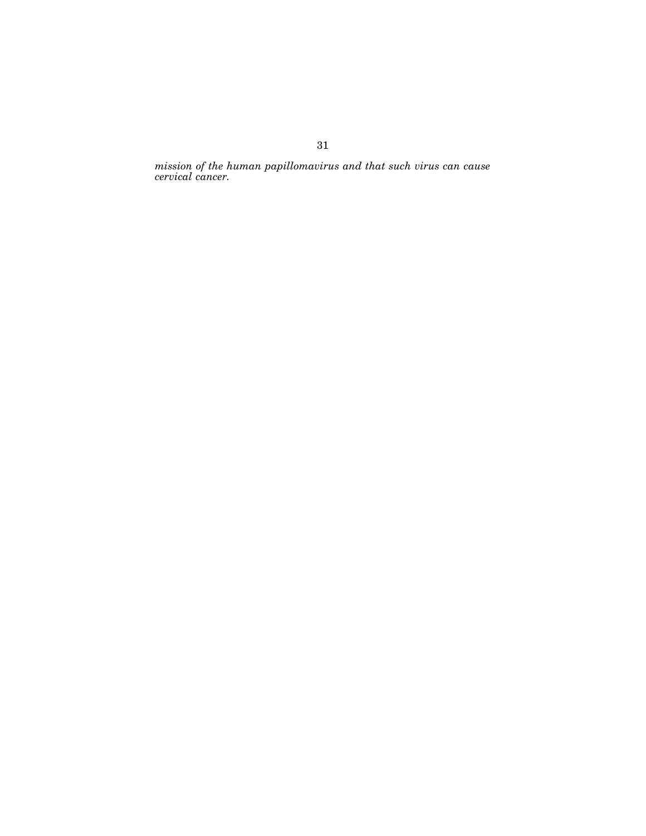*mission of the human papillomavirus and that such virus can cause cervical cancer.*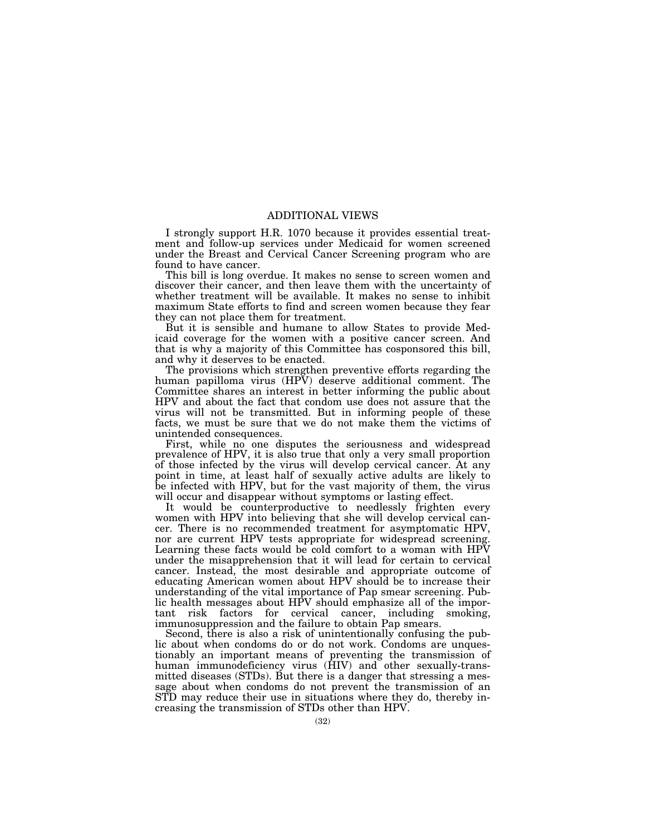# ADDITIONAL VIEWS

I strongly support H.R. 1070 because it provides essential treatment and follow-up services under Medicaid for women screened under the Breast and Cervical Cancer Screening program who are found to have cancer.

This bill is long overdue. It makes no sense to screen women and discover their cancer, and then leave them with the uncertainty of whether treatment will be available. It makes no sense to inhibit maximum State efforts to find and screen women because they fear they can not place them for treatment.

But it is sensible and humane to allow States to provide Medicaid coverage for the women with a positive cancer screen. And that is why a majority of this Committee has cosponsored this bill, and why it deserves to be enacted.

The provisions which strengthen preventive efforts regarding the human papilloma virus (HPV) deserve additional comment. The Committee shares an interest in better informing the public about HPV and about the fact that condom use does not assure that the virus will not be transmitted. But in informing people of these facts, we must be sure that we do not make them the victims of unintended consequences.

First, while no one disputes the seriousness and widespread prevalence of HPV, it is also true that only a very small proportion of those infected by the virus will develop cervical cancer. At any point in time, at least half of sexually active adults are likely to be infected with HPV, but for the vast majority of them, the virus will occur and disappear without symptoms or lasting effect.

It would be counterproductive to needlessly frighten every women with HPV into believing that she will develop cervical cancer. There is no recommended treatment for asymptomatic HPV, nor are current HPV tests appropriate for widespread screening. Learning these facts would be cold comfort to a woman with HPV under the misapprehension that it will lead for certain to cervical cancer. Instead, the most desirable and appropriate outcome of educating American women about HPV should be to increase their understanding of the vital importance of Pap smear screening. Public health messages about HPV should emphasize all of the important risk factors for cervical cancer, including smoking, immunosuppression and the failure to obtain Pap smears.

Second, there is also a risk of unintentionally confusing the public about when condoms do or do not work. Condoms are unquestionably an important means of preventing the transmission of human immunodeficiency virus (HIV) and other sexually-transmitted diseases (STDs). But there is a danger that stressing a message about when condoms do not prevent the transmission of an STD may reduce their use in situations where they do, thereby increasing the transmission of STDs other than HPV.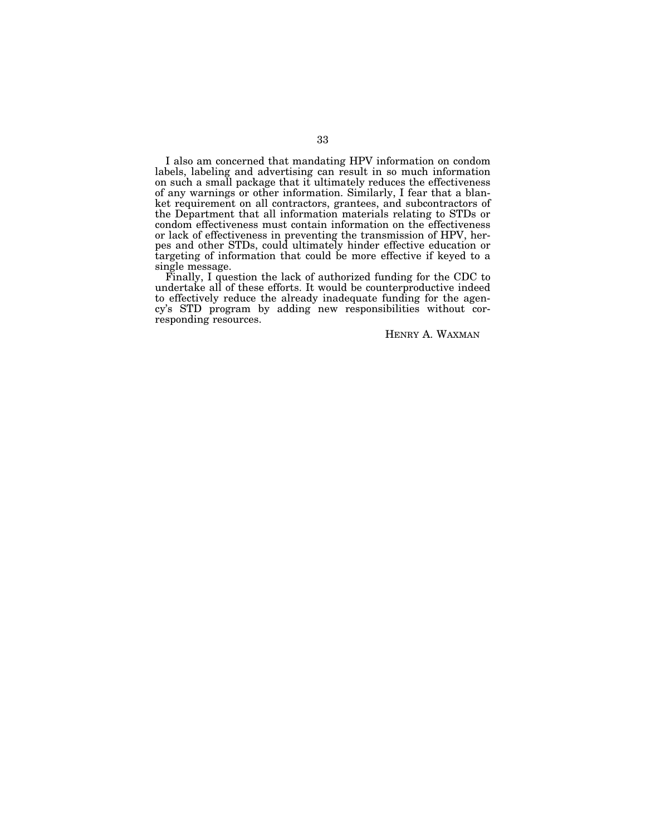I also am concerned that mandating HPV information on condom labels, labeling and advertising can result in so much information on such a small package that it ultimately reduces the effectiveness of any warnings or other information. Similarly, I fear that a blanket requirement on all contractors, grantees, and subcontractors of the Department that all information materials relating to STDs or condom effectiveness must contain information on the effectiveness or lack of effectiveness in preventing the transmission of HPV, herpes and other STDs, could ultimately hinder effective education or targeting of information that could be more effective if keyed to a single message.

Finally, I question the lack of authorized funding for the CDC to undertake all of these efforts. It would be counterproductive indeed to effectively reduce the already inadequate funding for the agency's STD program by adding new responsibilities without corresponding resources.

HENRY A. WAXMAN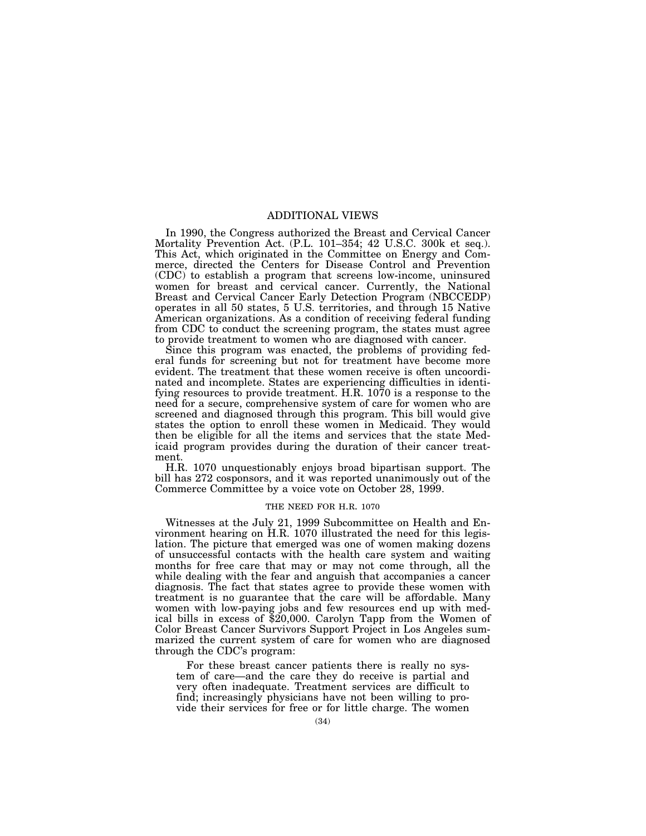# ADDITIONAL VIEWS

In 1990, the Congress authorized the Breast and Cervical Cancer Mortality Prevention Act. (P.L. 101–354; 42 U.S.C. 300k et seq.). This Act, which originated in the Committee on Energy and Commerce, directed the Centers for Disease Control and Prevention (CDC) to establish a program that screens low-income, uninsured women for breast and cervical cancer. Currently, the National Breast and Cervical Cancer Early Detection Program (NBCCEDP) operates in all 50 states, 5 U.S. territories, and through 15 Native American organizations. As a condition of receiving federal funding from CDC to conduct the screening program, the states must agree to provide treatment to women who are diagnosed with cancer.

Since this program was enacted, the problems of providing federal funds for screening but not for treatment have become more evident. The treatment that these women receive is often uncoordinated and incomplete. States are experiencing difficulties in identifying resources to provide treatment. H.R. 1070 is a response to the need for a secure, comprehensive system of care for women who are screened and diagnosed through this program. This bill would give states the option to enroll these women in Medicaid. They would then be eligible for all the items and services that the state Medicaid program provides during the duration of their cancer treatment.

H.R. 1070 unquestionably enjoys broad bipartisan support. The bill has 272 cosponsors, and it was reported unanimously out of the Commerce Committee by a voice vote on October 28, 1999.

# THE NEED FOR H.R. 1070

Witnesses at the July 21, 1999 Subcommittee on Health and Environment hearing on  $\text{H.R.}$  1070 illustrated the need for this legislation. The picture that emerged was one of women making dozens of unsuccessful contacts with the health care system and waiting months for free care that may or may not come through, all the while dealing with the fear and anguish that accompanies a cancer diagnosis. The fact that states agree to provide these women with treatment is no guarantee that the care will be affordable. Many women with low-paying jobs and few resources end up with medical bills in excess of \$20,000. Carolyn Tapp from the Women of Color Breast Cancer Survivors Support Project in Los Angeles summarized the current system of care for women who are diagnosed through the CDC's program:

For these breast cancer patients there is really no system of care—and the care they do receive is partial and very often inadequate. Treatment services are difficult to find; increasingly physicians have not been willing to provide their services for free or for little charge. The women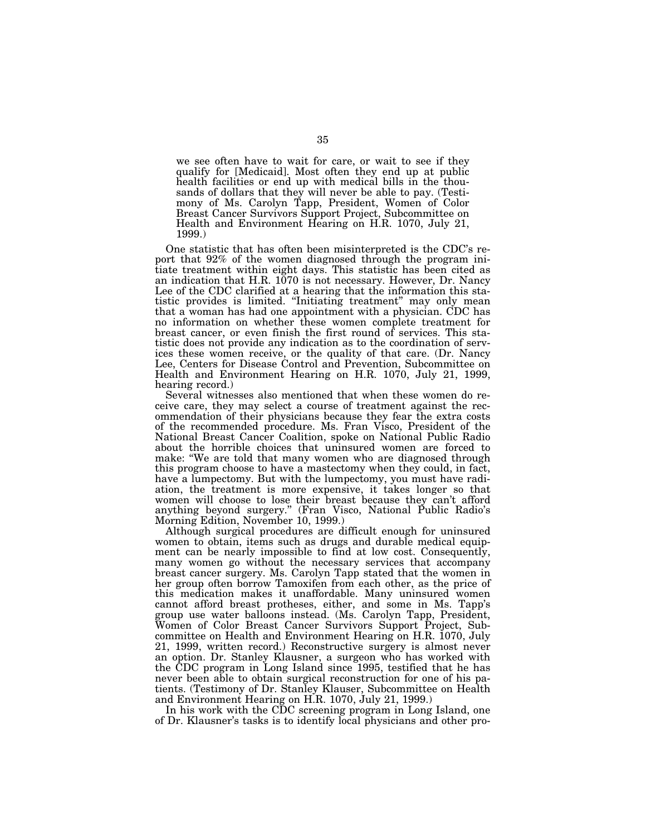we see often have to wait for care, or wait to see if they qualify for [Medicaid]. Most often they end up at public health facilities or end up with medical bills in the thousands of dollars that they will never be able to pay. (Testimony of Ms. Carolyn Tapp, President, Women of Color Breast Cancer Survivors Support Project, Subcommittee on Health and Environment Hearing on H.R. 1070, July 21, 1999.)

One statistic that has often been misinterpreted is the CDC's report that 92% of the women diagnosed through the program initiate treatment within eight days. This statistic has been cited as an indication that H.R. 1070 is not necessary. However, Dr. Nancy Lee of the CDC clarified at a hearing that the information this statistic provides is limited. "Initiating treatment" may only mean that a woman has had one appointment with a physician. CDC has no information on whether these women complete treatment for breast cancer, or even finish the first round of services. This statistic does not provide any indication as to the coordination of services these women receive, or the quality of that care. (Dr. Nancy Lee, Centers for Disease Control and Prevention, Subcommittee on Health and Environment Hearing on H.R. 1070, July 21, 1999, hearing record.)

Several witnesses also mentioned that when these women do receive care, they may select a course of treatment against the recommendation of their physicians because they fear the extra costs of the recommended procedure. Ms. Fran Visco, President of the National Breast Cancer Coalition, spoke on National Public Radio about the horrible choices that uninsured women are forced to make: "We are told that many women who are diagnosed through this program choose to have a mastectomy when they could, in fact, have a lumpectomy. But with the lumpectomy, you must have radiation, the treatment is more expensive, it takes longer so that women will choose to lose their breast because they can't afford anything beyond surgery.'' (Fran Visco, National Public Radio's Morning Edition, November 10, 1999.)

Although surgical procedures are difficult enough for uninsured women to obtain, items such as drugs and durable medical equipment can be nearly impossible to find at low cost. Consequently, many women go without the necessary services that accompany breast cancer surgery. Ms. Carolyn Tapp stated that the women in her group often borrow Tamoxifen from each other, as the price of this medication makes it unaffordable. Many uninsured women cannot afford breast protheses, either, and some in Ms. Tapp's group use water balloons instead. (Ms. Carolyn Tapp, President, Women of Color Breast Cancer Survivors Support Project, Subcommittee on Health and Environment Hearing on H.R. 1070, July 21, 1999, written record.) Reconstructive surgery is almost never an option. Dr. Stanley Klausner, a surgeon who has worked with the CDC program in Long Island since 1995, testified that he has never been able to obtain surgical reconstruction for one of his patients. (Testimony of Dr. Stanley Klauser, Subcommittee on Health and Environment Hearing on H.R. 1070, July 21, 1999.)

In his work with the CDC screening program in Long Island, one of Dr. Klausner's tasks is to identify local physicians and other pro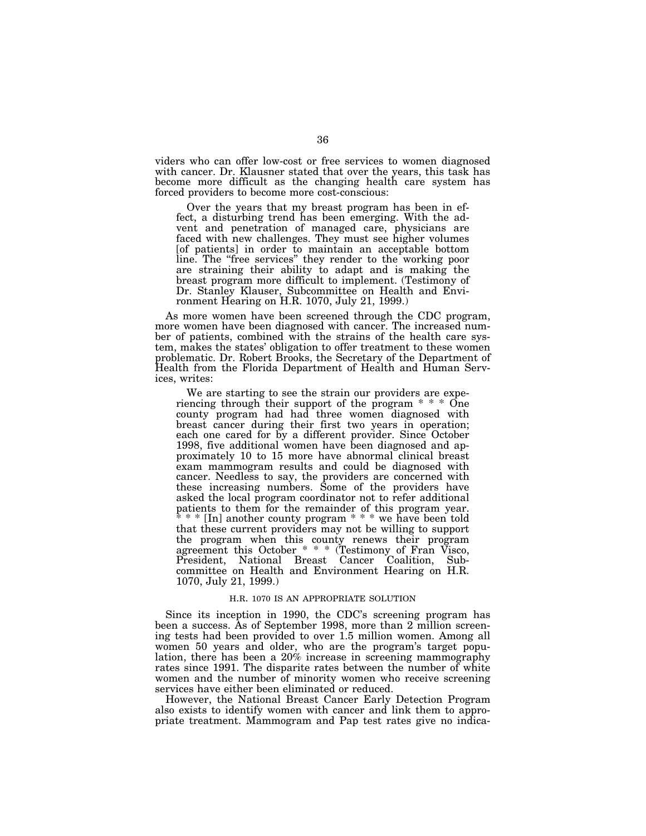viders who can offer low-cost or free services to women diagnosed with cancer. Dr. Klausner stated that over the years, this task has become more difficult as the changing health care system has forced providers to become more cost-conscious:

Over the years that my breast program has been in effect, a disturbing trend has been emerging. With the advent and penetration of managed care, physicians are faced with new challenges. They must see higher volumes [of patients] in order to maintain an acceptable bottom line. The "free services" they render to the working poor are straining their ability to adapt and is making the breast program more difficult to implement. (Testimony of Dr. Stanley Klauser, Subcommittee on Health and Environment Hearing on H.R. 1070, July 21, 1999.)

As more women have been screened through the CDC program, more women have been diagnosed with cancer. The increased number of patients, combined with the strains of the health care system, makes the states' obligation to offer treatment to these women problematic. Dr. Robert Brooks, the Secretary of the Department of Health from the Florida Department of Health and Human Services, writes:

We are starting to see the strain our providers are experiencing through their support of the program \* \* \* One county program had had three women diagnosed with breast cancer during their first two years in operation; each one cared for by a different provider. Since October 1998, five additional women have been diagnosed and approximately 10 to 15 more have abnormal clinical breast exam mammogram results and could be diagnosed with cancer. Needless to say, the providers are concerned with these increasing numbers. Some of the providers have asked the local program coordinator not to refer additional patients to them for the remainder of this program year. \* \* \* [In] another county program \* \* \* we have been told that these current providers may not be willing to support the program when this county renews their program agreement this October \* \* \* (Testimony of Fran Visco, President, National Breast Cancer Coalition, Subcommittee on Health and Environment Hearing on H.R. 1070, July 21, 1999.)

#### H.R. 1070 IS AN APPROPRIATE SOLUTION

Since its inception in 1990, the CDC's screening program has been a success. As of September 1998, more than 2 million screening tests had been provided to over 1.5 million women. Among all women 50 years and older, who are the program's target population, there has been a 20% increase in screening mammography rates since 1991. The disparite rates between the number of white women and the number of minority women who receive screening services have either been eliminated or reduced.

However, the National Breast Cancer Early Detection Program also exists to identify women with cancer and link them to appropriate treatment. Mammogram and Pap test rates give no indica